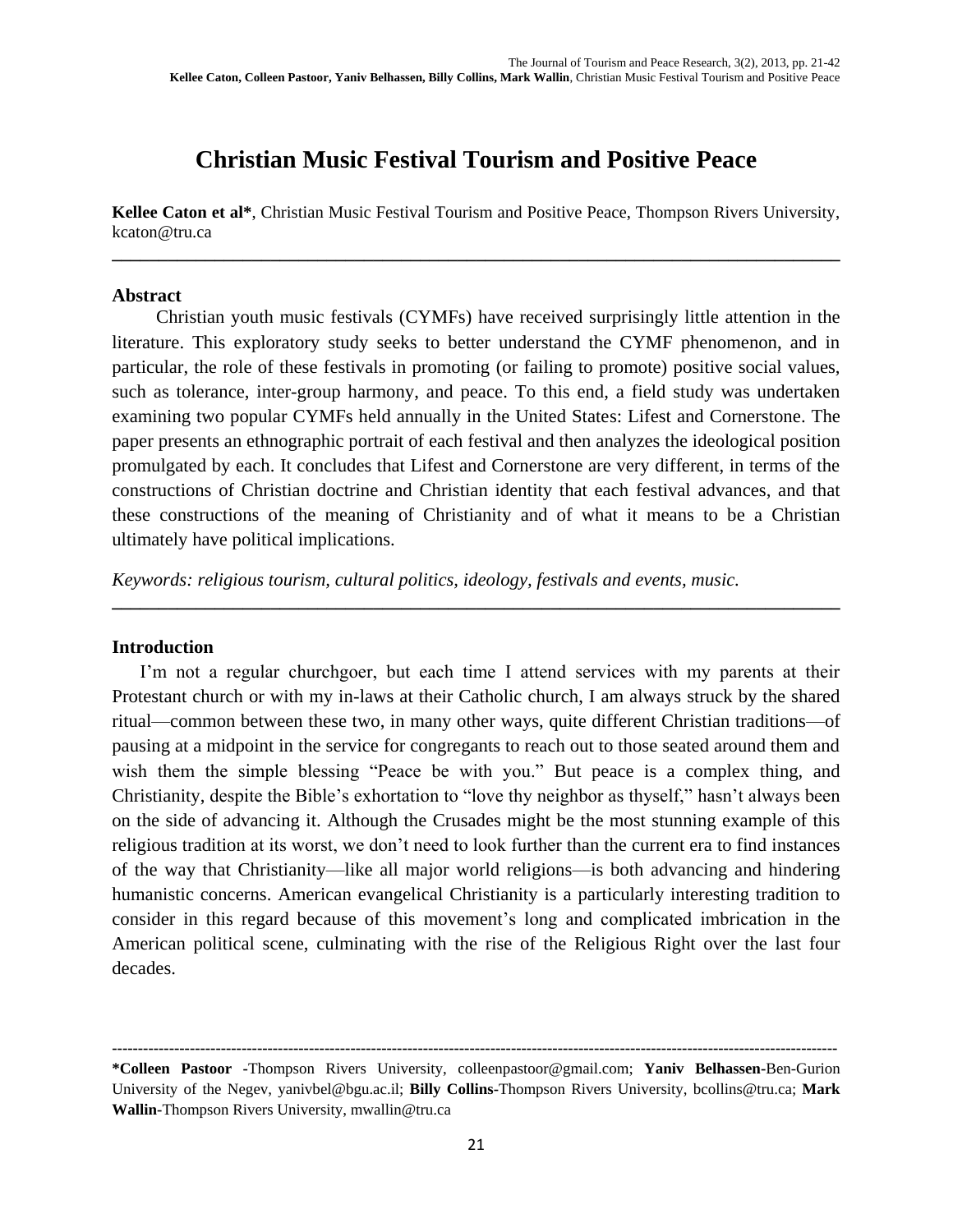# **Christian Music Festival Tourism and Positive Peace**

**Kellee Caton et al\***, Christian Music Festival Tourism and Positive Peace, Thompson Rivers University, kcaton@tru.ca **\_\_\_\_\_\_\_\_\_\_\_\_\_\_\_\_\_\_\_\_\_\_\_\_\_\_\_\_\_\_\_\_\_\_\_\_\_\_\_\_\_\_\_\_\_\_\_\_\_\_\_\_\_\_\_\_\_\_\_\_\_\_\_\_\_\_\_\_\_\_\_\_\_\_\_\_\_\_**

#### **Abstract**

Christian youth music festivals (CYMFs) have received surprisingly little attention in the literature. This exploratory study seeks to better understand the CYMF phenomenon, and in particular, the role of these festivals in promoting (or failing to promote) positive social values, such as tolerance, inter-group harmony, and peace. To this end, a field study was undertaken examining two popular CYMFs held annually in the United States: Lifest and Cornerstone. The paper presents an ethnographic portrait of each festival and then analyzes the ideological position promulgated by each. It concludes that Lifest and Cornerstone are very different, in terms of the constructions of Christian doctrine and Christian identity that each festival advances, and that these constructions of the meaning of Christianity and of what it means to be a Christian ultimately have political implications.

**\_\_\_\_\_\_\_\_\_\_\_\_\_\_\_\_\_\_\_\_\_\_\_\_\_\_\_\_\_\_\_\_\_\_\_\_\_\_\_\_\_\_\_\_\_\_\_\_\_\_\_\_\_\_\_\_\_\_\_\_\_\_\_\_\_\_\_\_\_\_\_\_\_\_\_\_\_\_**

*Keywords: religious tourism, cultural politics, ideology, festivals and events, music.*

#### **Introduction**

I'm not a regular churchgoer, but each time I attend services with my parents at their Protestant church or with my in-laws at their Catholic church, I am always struck by the shared ritual—common between these two, in many other ways, quite different Christian traditions—of pausing at a midpoint in the service for congregants to reach out to those seated around them and wish them the simple blessing "Peace be with you." But peace is a complex thing, and Christianity, despite the Bible's exhortation to "love thy neighbor as thyself," hasn't always been on the side of advancing it. Although the Crusades might be the most stunning example of this religious tradition at its worst, we don't need to look further than the current era to find instances of the way that Christianity—like all major world religions—is both advancing and hindering humanistic concerns. American evangelical Christianity is a particularly interesting tradition to consider in this regard because of this movement's long and complicated imbrication in the American political scene, culminating with the rise of the Religious Right over the last four decades.

**--------------------------------------------------------------------------------------------------------------------------------------------**

**<sup>\*</sup>Colleen Pastoor -**Thompson Rivers University, [colleenpastoor@gmail.com;](mailto:colleenpastoor@gmail.com) **Yaniv Belhassen-**Ben-Gurion University of the Negev, [yanivbel@bgu.ac.il;](mailto:yanivbel@bgu.ac.il) **Billy Collins-**Thompson Rivers University, [bcollins@tru.ca;](mailto:bcollins@tru.ca) **Mark Wallin-**Thompson Rivers University, mwallin@tru.ca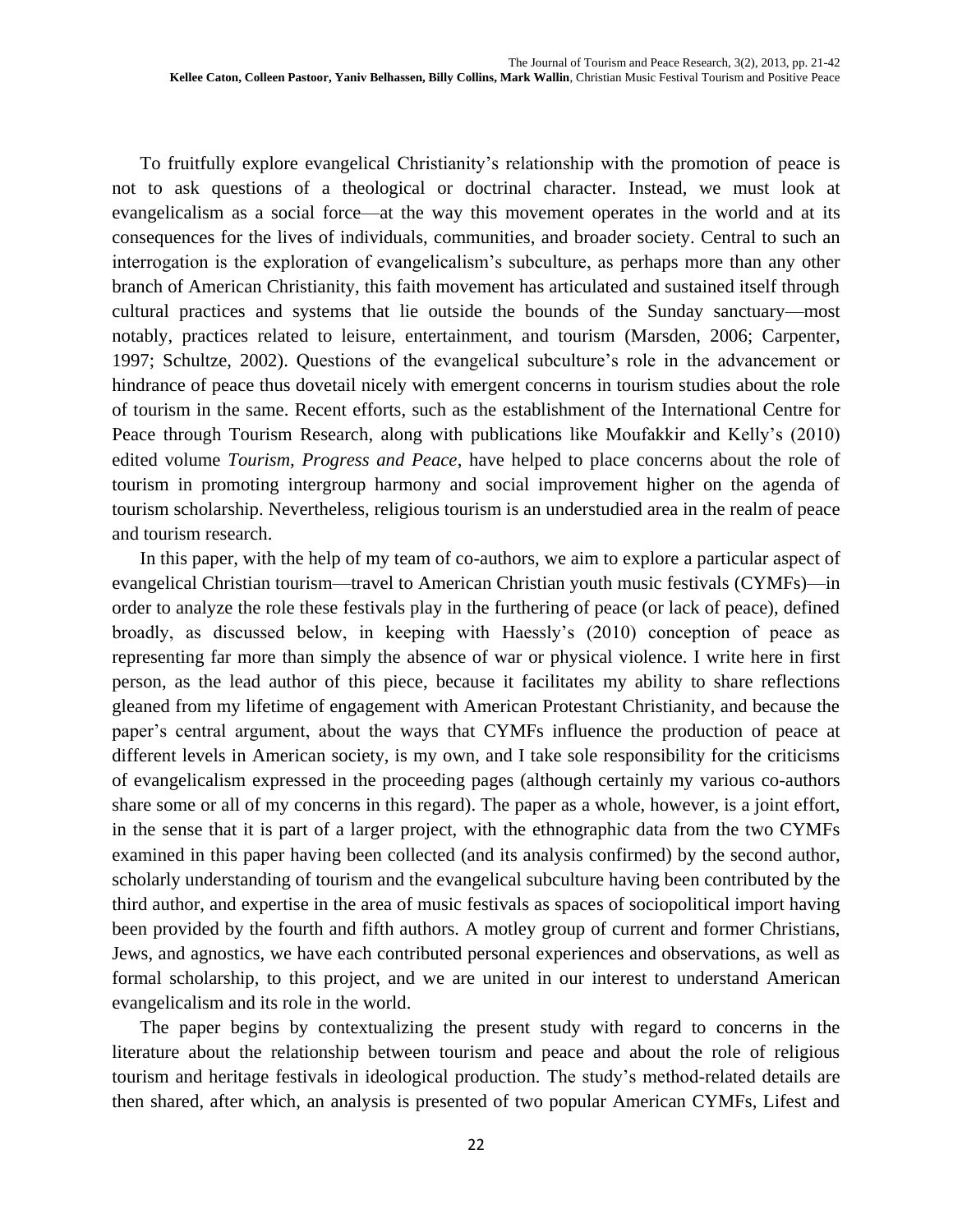To fruitfully explore evangelical Christianity's relationship with the promotion of peace is not to ask questions of a theological or doctrinal character. Instead, we must look at evangelicalism as a social force—at the way this movement operates in the world and at its consequences for the lives of individuals, communities, and broader society. Central to such an interrogation is the exploration of evangelicalism's subculture, as perhaps more than any other branch of American Christianity, this faith movement has articulated and sustained itself through cultural practices and systems that lie outside the bounds of the Sunday sanctuary—most notably, practices related to leisure, entertainment, and tourism (Marsden, 2006; Carpenter, 1997; Schultze, 2002). Questions of the evangelical subculture's role in the advancement or hindrance of peace thus dovetail nicely with emergent concerns in tourism studies about the role of tourism in the same. Recent efforts, such as the establishment of the International Centre for Peace through Tourism Research, along with publications like Moufakkir and Kelly's (2010) edited volume *Tourism, Progress and Peace*, have helped to place concerns about the role of tourism in promoting intergroup harmony and social improvement higher on the agenda of tourism scholarship. Nevertheless, religious tourism is an understudied area in the realm of peace and tourism research.

In this paper, with the help of my team of co-authors, we aim to explore a particular aspect of evangelical Christian tourism—travel to American Christian youth music festivals (CYMFs)—in order to analyze the role these festivals play in the furthering of peace (or lack of peace), defined broadly, as discussed below, in keeping with Haessly's (2010) conception of peace as representing far more than simply the absence of war or physical violence. I write here in first person, as the lead author of this piece, because it facilitates my ability to share reflections gleaned from my lifetime of engagement with American Protestant Christianity, and because the paper's central argument, about the ways that CYMFs influence the production of peace at different levels in American society, is my own, and I take sole responsibility for the criticisms of evangelicalism expressed in the proceeding pages (although certainly my various co-authors share some or all of my concerns in this regard). The paper as a whole, however, is a joint effort, in the sense that it is part of a larger project, with the ethnographic data from the two CYMFs examined in this paper having been collected (and its analysis confirmed) by the second author, scholarly understanding of tourism and the evangelical subculture having been contributed by the third author, and expertise in the area of music festivals as spaces of sociopolitical import having been provided by the fourth and fifth authors. A motley group of current and former Christians, Jews, and agnostics, we have each contributed personal experiences and observations, as well as formal scholarship, to this project, and we are united in our interest to understand American evangelicalism and its role in the world.

The paper begins by contextualizing the present study with regard to concerns in the literature about the relationship between tourism and peace and about the role of religious tourism and heritage festivals in ideological production. The study's method-related details are then shared, after which, an analysis is presented of two popular American CYMFs, Lifest and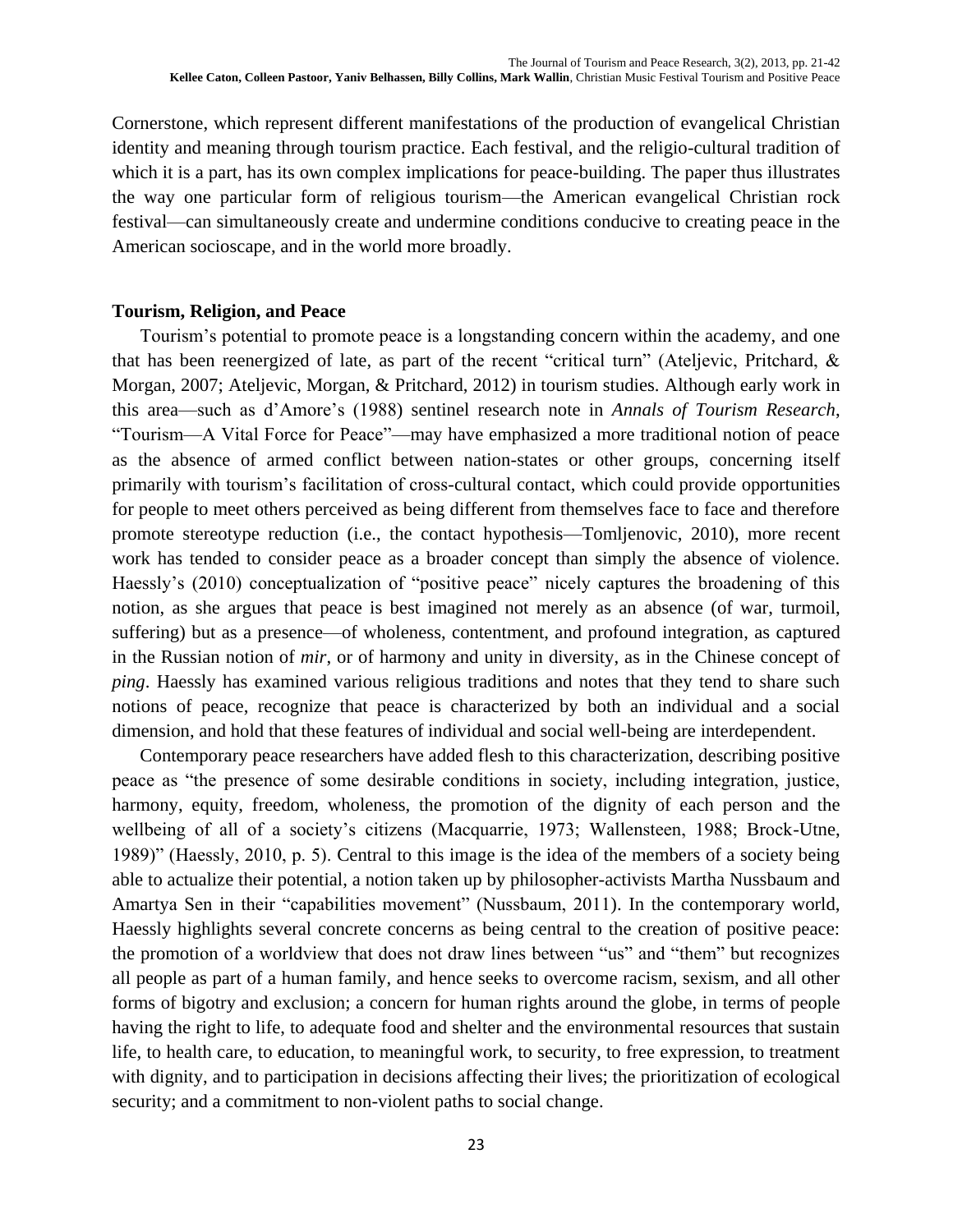Cornerstone, which represent different manifestations of the production of evangelical Christian identity and meaning through tourism practice. Each festival, and the religio-cultural tradition of which it is a part, has its own complex implications for peace-building. The paper thus illustrates the way one particular form of religious tourism—the American evangelical Christian rock festival—can simultaneously create and undermine conditions conducive to creating peace in the American socioscape, and in the world more broadly.

#### **Tourism, Religion, and Peace**

Tourism's potential to promote peace is a longstanding concern within the academy, and one that has been reenergized of late, as part of the recent "critical turn" (Ateljevic, Pritchard, & Morgan, 2007; Ateljevic, Morgan, & Pritchard, 2012) in tourism studies. Although early work in this area—such as d'Amore's (1988) sentinel research note in *Annals of Tourism Research*, "Tourism—A Vital Force for Peace"—may have emphasized a more traditional notion of peace as the absence of armed conflict between nation-states or other groups, concerning itself primarily with tourism's facilitation of cross-cultural contact, which could provide opportunities for people to meet others perceived as being different from themselves face to face and therefore promote stereotype reduction (i.e., the contact hypothesis—Tomljenovic, 2010), more recent work has tended to consider peace as a broader concept than simply the absence of violence. Haessly's (2010) conceptualization of "positive peace" nicely captures the broadening of this notion, as she argues that peace is best imagined not merely as an absence (of war, turmoil, suffering) but as a presence—of wholeness, contentment, and profound integration, as captured in the Russian notion of *mir*, or of harmony and unity in diversity, as in the Chinese concept of *ping*. Haessly has examined various religious traditions and notes that they tend to share such notions of peace, recognize that peace is characterized by both an individual and a social dimension, and hold that these features of individual and social well-being are interdependent.

Contemporary peace researchers have added flesh to this characterization, describing positive peace as "the presence of some desirable conditions in society, including integration, justice, harmony, equity, freedom, wholeness, the promotion of the dignity of each person and the wellbeing of all of a society's citizens (Macquarrie, 1973; Wallensteen, 1988; Brock-Utne, 1989)" (Haessly, 2010, p. 5). Central to this image is the idea of the members of a society being able to actualize their potential, a notion taken up by philosopher-activists Martha Nussbaum and Amartya Sen in their "capabilities movement" (Nussbaum, 2011). In the contemporary world, Haessly highlights several concrete concerns as being central to the creation of positive peace: the promotion of a worldview that does not draw lines between "us" and "them" but recognizes all people as part of a human family, and hence seeks to overcome racism, sexism, and all other forms of bigotry and exclusion; a concern for human rights around the globe, in terms of people having the right to life, to adequate food and shelter and the environmental resources that sustain life, to health care, to education, to meaningful work, to security, to free expression, to treatment with dignity, and to participation in decisions affecting their lives; the prioritization of ecological security; and a commitment to non-violent paths to social change.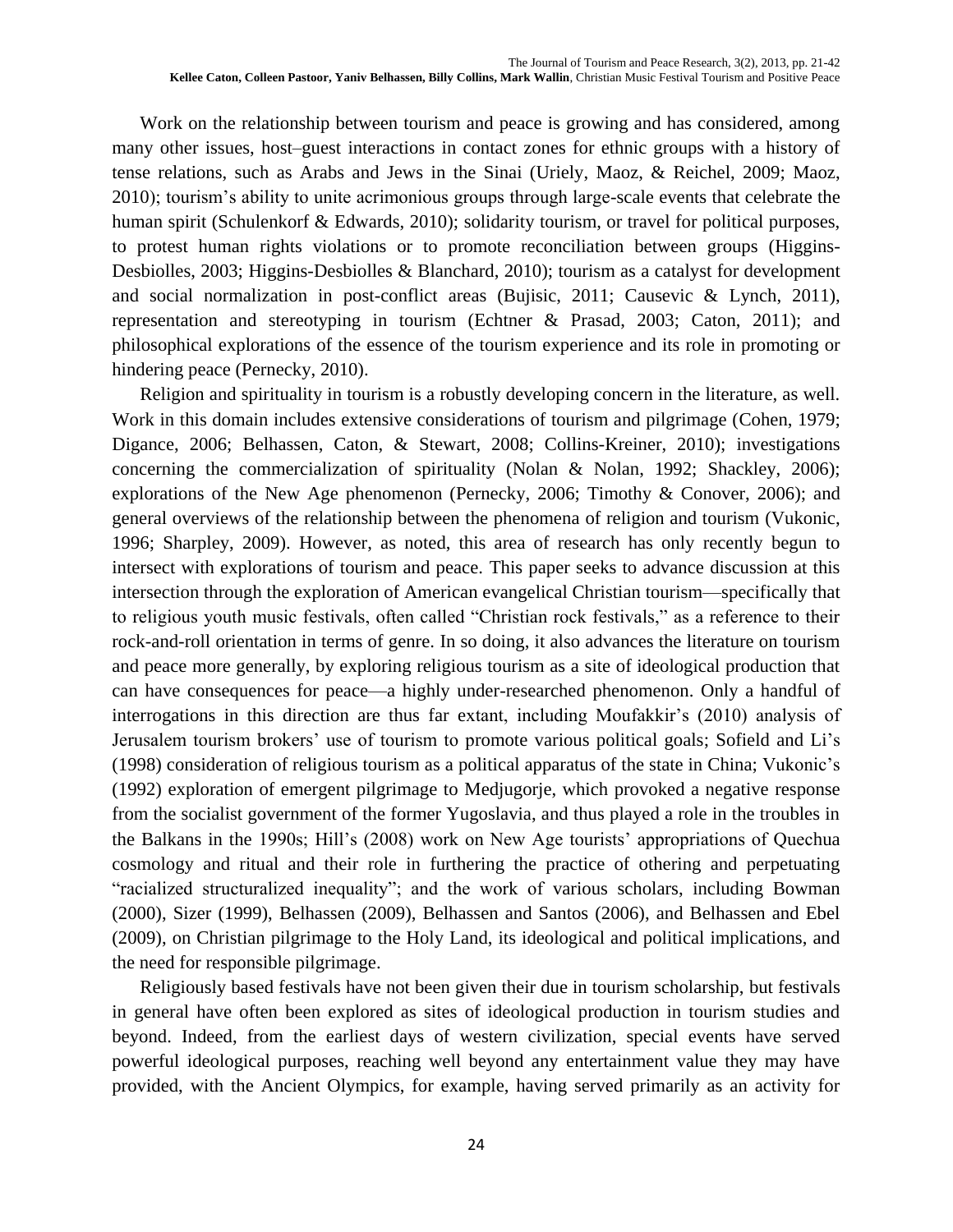Work on the relationship between tourism and peace is growing and has considered, among many other issues, host–guest interactions in contact zones for ethnic groups with a history of tense relations, such as Arabs and Jews in the Sinai (Uriely, Maoz, & Reichel, 2009; Maoz, 2010); tourism's ability to unite acrimonious groups through large-scale events that celebrate the human spirit (Schulenkorf & Edwards, 2010); solidarity tourism, or travel for political purposes, to protest human rights violations or to promote reconciliation between groups (Higgins-Desbiolles, 2003; Higgins-Desbiolles & Blanchard, 2010); tourism as a catalyst for development and social normalization in post-conflict areas (Bujisic, 2011; Causevic & Lynch, 2011), representation and stereotyping in tourism (Echtner & Prasad, 2003; Caton, 2011); and philosophical explorations of the essence of the tourism experience and its role in promoting or hindering peace (Pernecky, 2010).

Religion and spirituality in tourism is a robustly developing concern in the literature, as well. Work in this domain includes extensive considerations of tourism and pilgrimage (Cohen, 1979; Digance, 2006; Belhassen, Caton, & Stewart, 2008; Collins-Kreiner, 2010); investigations concerning the commercialization of spirituality (Nolan & Nolan, 1992; Shackley, 2006); explorations of the New Age phenomenon (Pernecky, 2006; Timothy & Conover, 2006); and general overviews of the relationship between the phenomena of religion and tourism (Vukonic, 1996; Sharpley, 2009). However, as noted, this area of research has only recently begun to intersect with explorations of tourism and peace. This paper seeks to advance discussion at this intersection through the exploration of American evangelical Christian tourism—specifically that to religious youth music festivals, often called "Christian rock festivals," as a reference to their rock-and-roll orientation in terms of genre. In so doing, it also advances the literature on tourism and peace more generally, by exploring religious tourism as a site of ideological production that can have consequences for peace—a highly under-researched phenomenon. Only a handful of interrogations in this direction are thus far extant, including Moufakkir's (2010) analysis of Jerusalem tourism brokers' use of tourism to promote various political goals; Sofield and Li's (1998) consideration of religious tourism as a political apparatus of the state in China; Vukonic's (1992) exploration of emergent pilgrimage to Medjugorje, which provoked a negative response from the socialist government of the former Yugoslavia, and thus played a role in the troubles in the Balkans in the 1990s; Hill's (2008) work on New Age tourists' appropriations of Quechua cosmology and ritual and their role in furthering the practice of othering and perpetuating "racialized structuralized inequality"; and the work of various scholars, including Bowman (2000), Sizer (1999), Belhassen (2009), Belhassen and Santos (2006), and Belhassen and Ebel (2009), on Christian pilgrimage to the Holy Land, its ideological and political implications, and the need for responsible pilgrimage.

Religiously based festivals have not been given their due in tourism scholarship, but festivals in general have often been explored as sites of ideological production in tourism studies and beyond. Indeed, from the earliest days of western civilization, special events have served powerful ideological purposes, reaching well beyond any entertainment value they may have provided, with the Ancient Olympics, for example, having served primarily as an activity for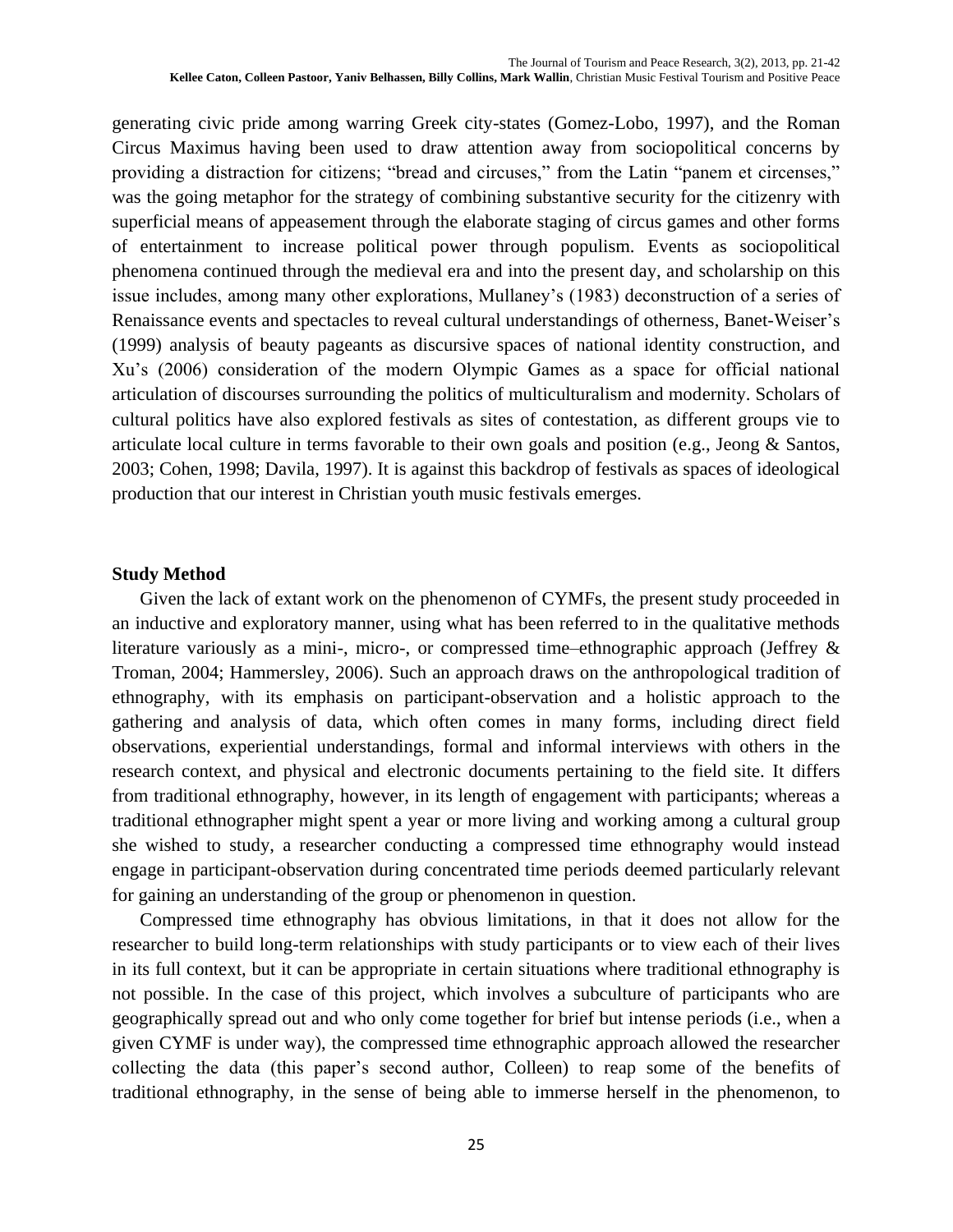generating civic pride among warring Greek city-states (Gomez-Lobo, 1997), and the Roman Circus Maximus having been used to draw attention away from sociopolitical concerns by providing a distraction for citizens; "bread and circuses," from the Latin "panem et circenses," was the going metaphor for the strategy of combining substantive security for the citizenry with superficial means of appeasement through the elaborate staging of circus games and other forms of entertainment to increase political power through populism. Events as sociopolitical phenomena continued through the medieval era and into the present day, and scholarship on this issue includes, among many other explorations, Mullaney's (1983) deconstruction of a series of Renaissance events and spectacles to reveal cultural understandings of otherness, Banet-Weiser's (1999) analysis of beauty pageants as discursive spaces of national identity construction, and Xu's (2006) consideration of the modern Olympic Games as a space for official national articulation of discourses surrounding the politics of multiculturalism and modernity. Scholars of cultural politics have also explored festivals as sites of contestation, as different groups vie to articulate local culture in terms favorable to their own goals and position (e.g., Jeong & Santos, 2003; Cohen, 1998; Davila, 1997). It is against this backdrop of festivals as spaces of ideological production that our interest in Christian youth music festivals emerges.

#### **Study Method**

Given the lack of extant work on the phenomenon of CYMFs, the present study proceeded in an inductive and exploratory manner, using what has been referred to in the qualitative methods literature variously as a mini-, micro-, or compressed time–ethnographic approach (Jeffrey & Troman, 2004; Hammersley, 2006). Such an approach draws on the anthropological tradition of ethnography, with its emphasis on participant-observation and a holistic approach to the gathering and analysis of data, which often comes in many forms, including direct field observations, experiential understandings, formal and informal interviews with others in the research context, and physical and electronic documents pertaining to the field site. It differs from traditional ethnography, however, in its length of engagement with participants; whereas a traditional ethnographer might spent a year or more living and working among a cultural group she wished to study, a researcher conducting a compressed time ethnography would instead engage in participant-observation during concentrated time periods deemed particularly relevant for gaining an understanding of the group or phenomenon in question.

Compressed time ethnography has obvious limitations, in that it does not allow for the researcher to build long-term relationships with study participants or to view each of their lives in its full context, but it can be appropriate in certain situations where traditional ethnography is not possible. In the case of this project, which involves a subculture of participants who are geographically spread out and who only come together for brief but intense periods (i.e., when a given CYMF is under way), the compressed time ethnographic approach allowed the researcher collecting the data (this paper's second author, Colleen) to reap some of the benefits of traditional ethnography, in the sense of being able to immerse herself in the phenomenon, to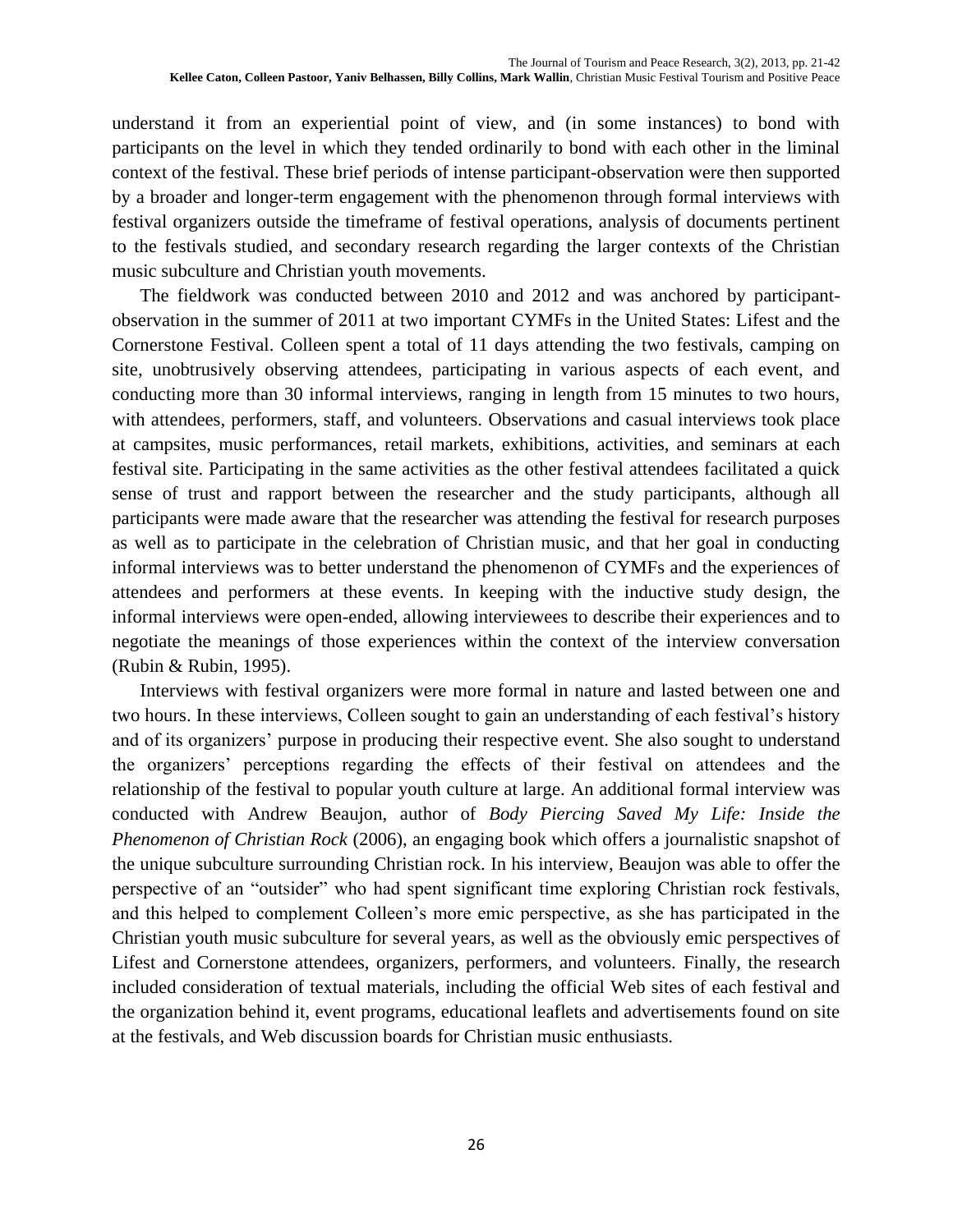understand it from an experiential point of view, and (in some instances) to bond with participants on the level in which they tended ordinarily to bond with each other in the liminal context of the festival. These brief periods of intense participant-observation were then supported by a broader and longer-term engagement with the phenomenon through formal interviews with festival organizers outside the timeframe of festival operations, analysis of documents pertinent to the festivals studied, and secondary research regarding the larger contexts of the Christian music subculture and Christian youth movements.

The fieldwork was conducted between 2010 and 2012 and was anchored by participantobservation in the summer of 2011 at two important CYMFs in the United States: Lifest and the Cornerstone Festival. Colleen spent a total of 11 days attending the two festivals, camping on site, unobtrusively observing attendees, participating in various aspects of each event, and conducting more than 30 informal interviews, ranging in length from 15 minutes to two hours, with attendees, performers, staff, and volunteers. Observations and casual interviews took place at campsites, music performances, retail markets, exhibitions, activities, and seminars at each festival site. Participating in the same activities as the other festival attendees facilitated a quick sense of trust and rapport between the researcher and the study participants, although all participants were made aware that the researcher was attending the festival for research purposes as well as to participate in the celebration of Christian music, and that her goal in conducting informal interviews was to better understand the phenomenon of CYMFs and the experiences of attendees and performers at these events. In keeping with the inductive study design, the informal interviews were open-ended, allowing interviewees to describe their experiences and to negotiate the meanings of those experiences within the context of the interview conversation (Rubin & Rubin, 1995).

Interviews with festival organizers were more formal in nature and lasted between one and two hours. In these interviews, Colleen sought to gain an understanding of each festival's history and of its organizers' purpose in producing their respective event. She also sought to understand the organizers' perceptions regarding the effects of their festival on attendees and the relationship of the festival to popular youth culture at large. An additional formal interview was conducted with Andrew Beaujon, author of *Body Piercing Saved My Life: Inside the Phenomenon of Christian Rock* (2006), an engaging book which offers a journalistic snapshot of the unique subculture surrounding Christian rock. In his interview, Beaujon was able to offer the perspective of an "outsider" who had spent significant time exploring Christian rock festivals, and this helped to complement Colleen's more emic perspective, as she has participated in the Christian youth music subculture for several years, as well as the obviously emic perspectives of Lifest and Cornerstone attendees, organizers, performers, and volunteers. Finally, the research included consideration of textual materials, including the official Web sites of each festival and the organization behind it, event programs, educational leaflets and advertisements found on site at the festivals, and Web discussion boards for Christian music enthusiasts.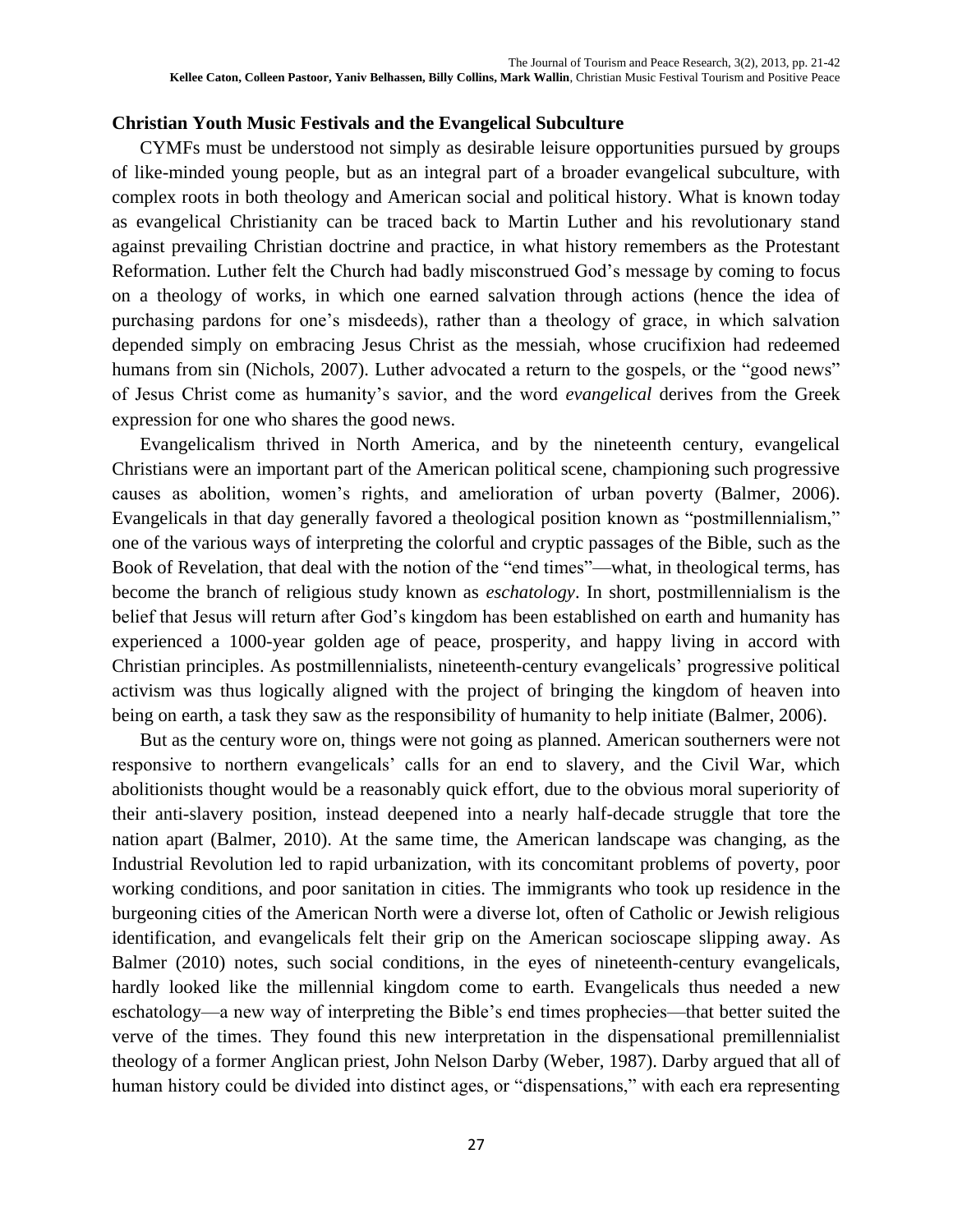#### **Christian Youth Music Festivals and the Evangelical Subculture**

CYMFs must be understood not simply as desirable leisure opportunities pursued by groups of like-minded young people, but as an integral part of a broader evangelical subculture, with complex roots in both theology and American social and political history. What is known today as evangelical Christianity can be traced back to Martin Luther and his revolutionary stand against prevailing Christian doctrine and practice, in what history remembers as the Protestant Reformation. Luther felt the Church had badly misconstrued God's message by coming to focus on a theology of works, in which one earned salvation through actions (hence the idea of purchasing pardons for one's misdeeds), rather than a theology of grace, in which salvation depended simply on embracing Jesus Christ as the messiah, whose crucifixion had redeemed humans from sin (Nichols, 2007). Luther advocated a return to the gospels, or the "good news" of Jesus Christ come as humanity's savior, and the word *evangelical* derives from the Greek expression for one who shares the good news.

Evangelicalism thrived in North America, and by the nineteenth century, evangelical Christians were an important part of the American political scene, championing such progressive causes as abolition, women's rights, and amelioration of urban poverty (Balmer, 2006). Evangelicals in that day generally favored a theological position known as "postmillennialism," one of the various ways of interpreting the colorful and cryptic passages of the Bible, such as the Book of Revelation, that deal with the notion of the "end times"—what, in theological terms, has become the branch of religious study known as *eschatology*. In short, postmillennialism is the belief that Jesus will return after God's kingdom has been established on earth and humanity has experienced a 1000-year golden age of peace, prosperity, and happy living in accord with Christian principles. As postmillennialists, nineteenth-century evangelicals' progressive political activism was thus logically aligned with the project of bringing the kingdom of heaven into being on earth, a task they saw as the responsibility of humanity to help initiate (Balmer, 2006).

But as the century wore on, things were not going as planned. American southerners were not responsive to northern evangelicals' calls for an end to slavery, and the Civil War, which abolitionists thought would be a reasonably quick effort, due to the obvious moral superiority of their anti-slavery position, instead deepened into a nearly half-decade struggle that tore the nation apart (Balmer, 2010). At the same time, the American landscape was changing, as the Industrial Revolution led to rapid urbanization, with its concomitant problems of poverty, poor working conditions, and poor sanitation in cities. The immigrants who took up residence in the burgeoning cities of the American North were a diverse lot, often of Catholic or Jewish religious identification, and evangelicals felt their grip on the American socioscape slipping away. As Balmer (2010) notes, such social conditions, in the eyes of nineteenth-century evangelicals, hardly looked like the millennial kingdom come to earth. Evangelicals thus needed a new eschatology—a new way of interpreting the Bible's end times prophecies—that better suited the verve of the times. They found this new interpretation in the dispensational premillennialist theology of a former Anglican priest, John Nelson Darby (Weber, 1987). Darby argued that all of human history could be divided into distinct ages, or "dispensations," with each era representing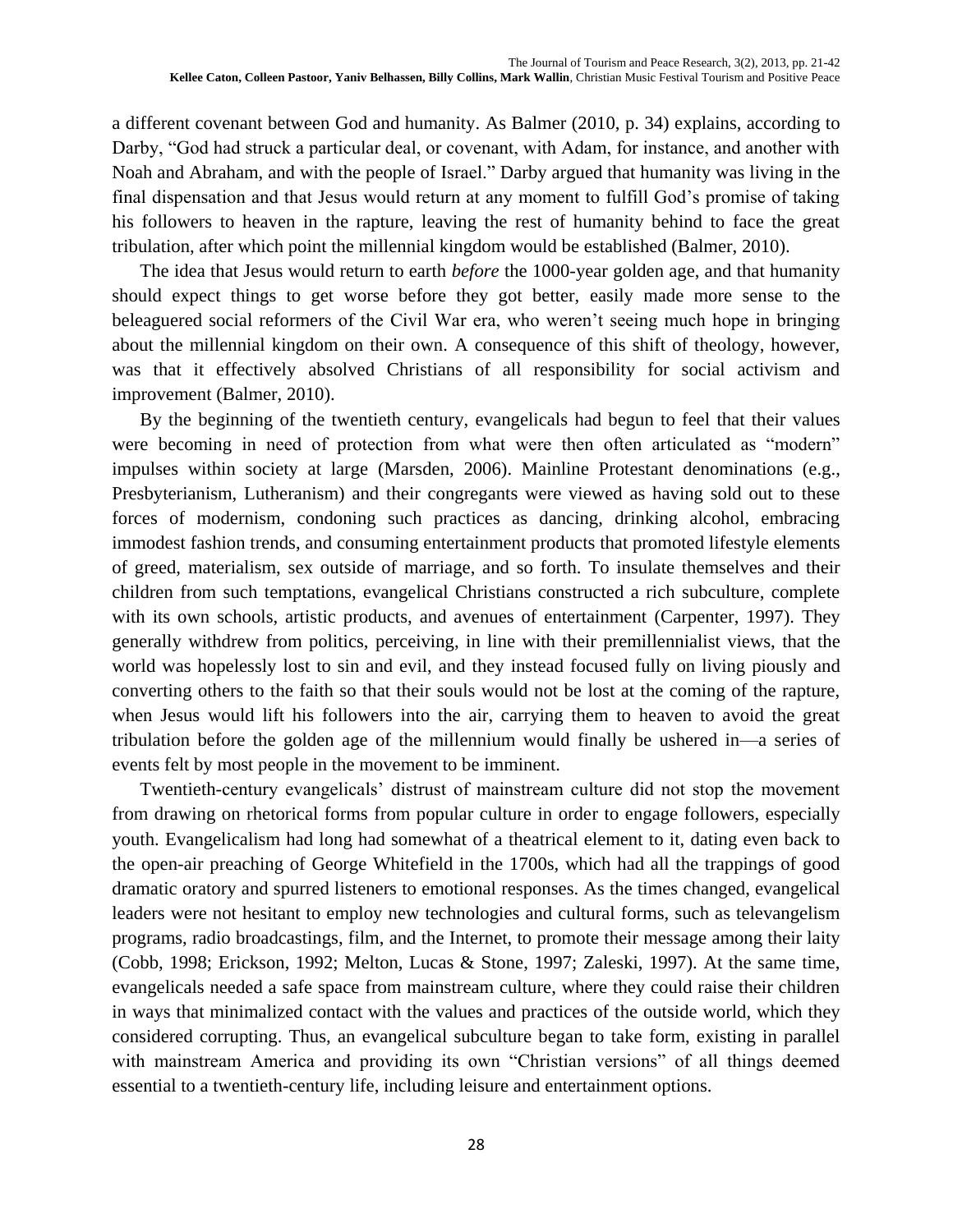a different covenant between God and humanity. As Balmer (2010, p. 34) explains, according to Darby, "God had struck a particular deal, or covenant, with Adam, for instance, and another with Noah and Abraham, and with the people of Israel." Darby argued that humanity was living in the final dispensation and that Jesus would return at any moment to fulfill God's promise of taking his followers to heaven in the rapture, leaving the rest of humanity behind to face the great tribulation, after which point the millennial kingdom would be established (Balmer, 2010).

The idea that Jesus would return to earth *before* the 1000-year golden age, and that humanity should expect things to get worse before they got better, easily made more sense to the beleaguered social reformers of the Civil War era, who weren't seeing much hope in bringing about the millennial kingdom on their own. A consequence of this shift of theology, however, was that it effectively absolved Christians of all responsibility for social activism and improvement (Balmer, 2010).

By the beginning of the twentieth century, evangelicals had begun to feel that their values were becoming in need of protection from what were then often articulated as "modern" impulses within society at large (Marsden, 2006). Mainline Protestant denominations (e.g., Presbyterianism, Lutheranism) and their congregants were viewed as having sold out to these forces of modernism, condoning such practices as dancing, drinking alcohol, embracing immodest fashion trends, and consuming entertainment products that promoted lifestyle elements of greed, materialism, sex outside of marriage, and so forth. To insulate themselves and their children from such temptations, evangelical Christians constructed a rich subculture, complete with its own schools, artistic products, and avenues of entertainment (Carpenter, 1997). They generally withdrew from politics, perceiving, in line with their premillennialist views, that the world was hopelessly lost to sin and evil, and they instead focused fully on living piously and converting others to the faith so that their souls would not be lost at the coming of the rapture, when Jesus would lift his followers into the air, carrying them to heaven to avoid the great tribulation before the golden age of the millennium would finally be ushered in—a series of events felt by most people in the movement to be imminent.

Twentieth-century evangelicals' distrust of mainstream culture did not stop the movement from drawing on rhetorical forms from popular culture in order to engage followers, especially youth. Evangelicalism had long had somewhat of a theatrical element to it, dating even back to the open-air preaching of George Whitefield in the 1700s, which had all the trappings of good dramatic oratory and spurred listeners to emotional responses. As the times changed, evangelical leaders were not hesitant to employ new technologies and cultural forms, such as televangelism programs, radio broadcastings, film, and the Internet, to promote their message among their laity (Cobb, 1998; Erickson, 1992; Melton, Lucas & Stone, 1997; Zaleski, 1997). At the same time, evangelicals needed a safe space from mainstream culture, where they could raise their children in ways that minimalized contact with the values and practices of the outside world, which they considered corrupting. Thus, an evangelical subculture began to take form, existing in parallel with mainstream America and providing its own "Christian versions" of all things deemed essential to a twentieth-century life, including leisure and entertainment options.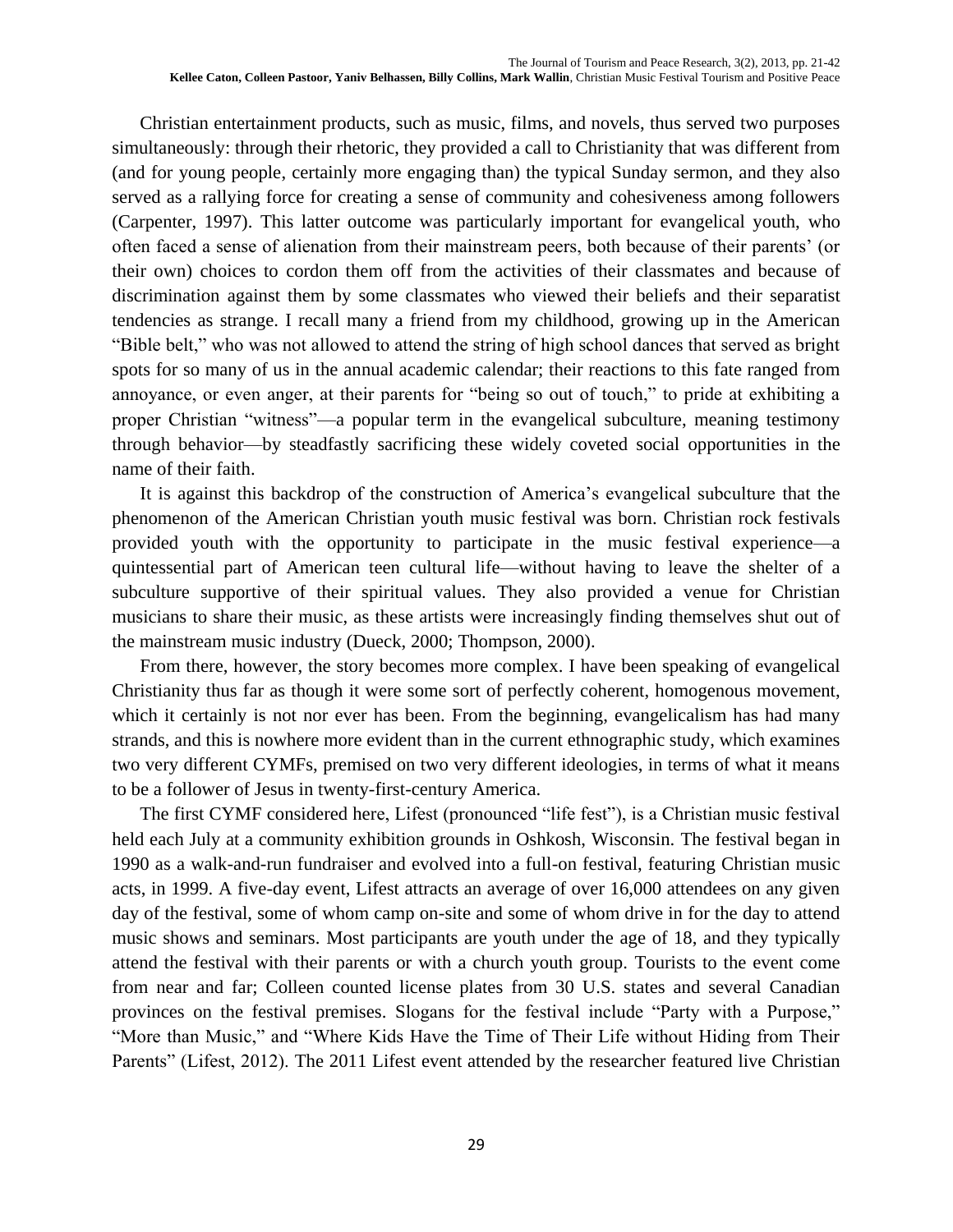Christian entertainment products, such as music, films, and novels, thus served two purposes simultaneously: through their rhetoric, they provided a call to Christianity that was different from (and for young people, certainly more engaging than) the typical Sunday sermon, and they also served as a rallying force for creating a sense of community and cohesiveness among followers (Carpenter, 1997). This latter outcome was particularly important for evangelical youth, who often faced a sense of alienation from their mainstream peers, both because of their parents' (or their own) choices to cordon them off from the activities of their classmates and because of discrimination against them by some classmates who viewed their beliefs and their separatist tendencies as strange. I recall many a friend from my childhood, growing up in the American "Bible belt," who was not allowed to attend the string of high school dances that served as bright spots for so many of us in the annual academic calendar; their reactions to this fate ranged from annoyance, or even anger, at their parents for "being so out of touch," to pride at exhibiting a proper Christian "witness"—a popular term in the evangelical subculture, meaning testimony through behavior—by steadfastly sacrificing these widely coveted social opportunities in the name of their faith.

It is against this backdrop of the construction of America's evangelical subculture that the phenomenon of the American Christian youth music festival was born. Christian rock festivals provided youth with the opportunity to participate in the music festival experience—a quintessential part of American teen cultural life—without having to leave the shelter of a subculture supportive of their spiritual values. They also provided a venue for Christian musicians to share their music, as these artists were increasingly finding themselves shut out of the mainstream music industry (Dueck, 2000; Thompson, 2000).

From there, however, the story becomes more complex. I have been speaking of evangelical Christianity thus far as though it were some sort of perfectly coherent, homogenous movement, which it certainly is not nor ever has been. From the beginning, evangelicalism has had many strands, and this is nowhere more evident than in the current ethnographic study, which examines two very different CYMFs, premised on two very different ideologies, in terms of what it means to be a follower of Jesus in twenty-first-century America.

The first CYMF considered here, Lifest (pronounced "life fest"), is a Christian music festival held each July at a community exhibition grounds in Oshkosh, Wisconsin. The festival began in 1990 as a walk-and-run fundraiser and evolved into a full-on festival, featuring Christian music acts, in 1999. A five-day event, Lifest attracts an average of over 16,000 attendees on any given day of the festival, some of whom camp on-site and some of whom drive in for the day to attend music shows and seminars. Most participants are youth under the age of 18, and they typically attend the festival with their parents or with a church youth group. Tourists to the event come from near and far; Colleen counted license plates from 30 U.S. states and several Canadian provinces on the festival premises. Slogans for the festival include "Party with a Purpose," "More than Music," and "Where Kids Have the Time of Their Life without Hiding from Their Parents" (Lifest, 2012). The 2011 Lifest event attended by the researcher featured live Christian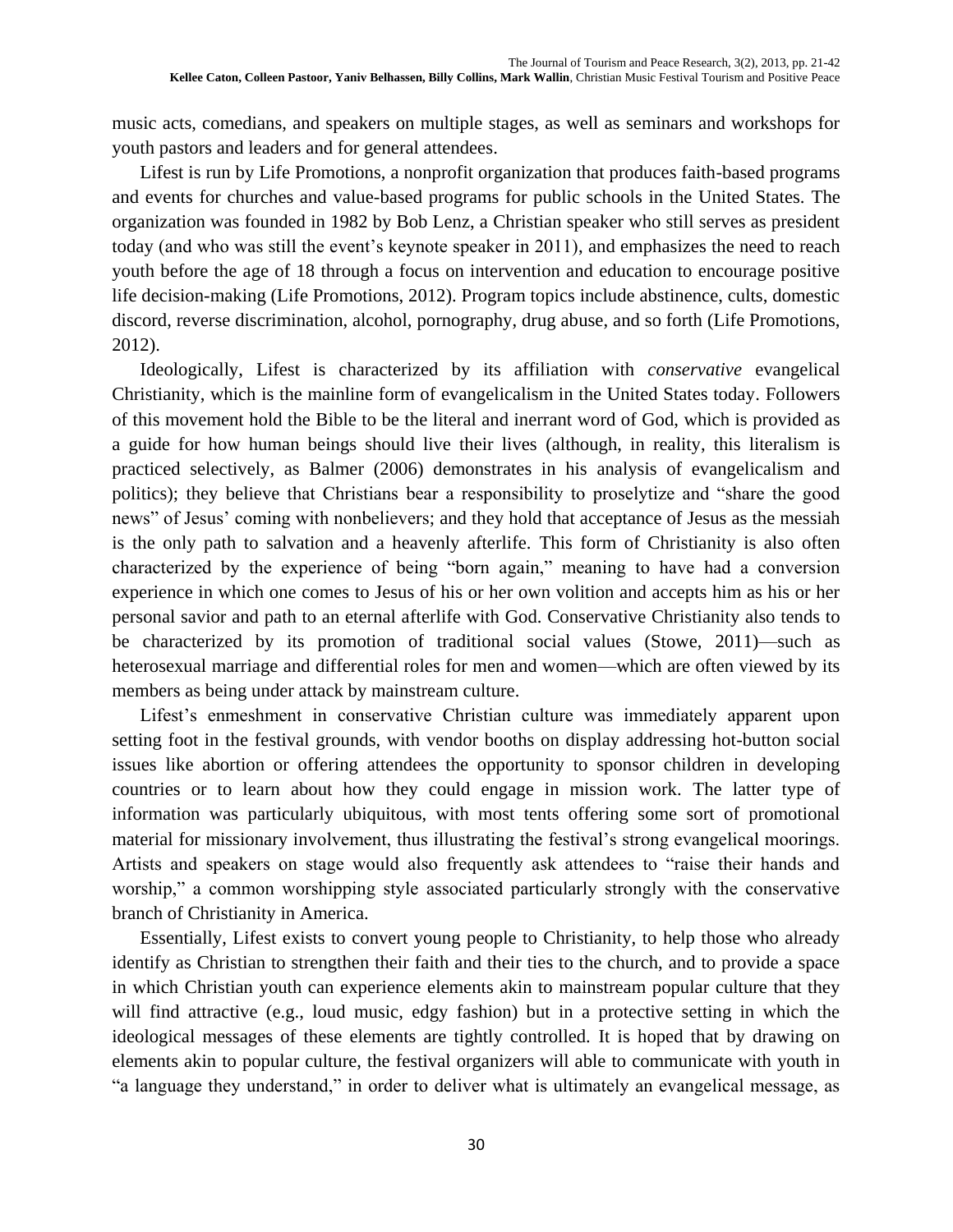music acts, comedians, and speakers on multiple stages, as well as seminars and workshops for youth pastors and leaders and for general attendees.

Lifest is run by Life Promotions, a nonprofit organization that produces faith-based programs and events for churches and value-based programs for public schools in the United States. The organization was founded in 1982 by Bob Lenz, a Christian speaker who still serves as president today (and who was still the event's keynote speaker in 2011), and emphasizes the need to reach youth before the age of 18 through a focus on intervention and education to encourage positive life decision-making (Life Promotions, 2012). Program topics include abstinence, cults, domestic discord, reverse discrimination, alcohol, pornography, drug abuse, and so forth (Life Promotions, 2012).

Ideologically, Lifest is characterized by its affiliation with *conservative* evangelical Christianity, which is the mainline form of evangelicalism in the United States today. Followers of this movement hold the Bible to be the literal and inerrant word of God, which is provided as a guide for how human beings should live their lives (although, in reality, this literalism is practiced selectively, as Balmer (2006) demonstrates in his analysis of evangelicalism and politics); they believe that Christians bear a responsibility to proselytize and "share the good news" of Jesus' coming with nonbelievers; and they hold that acceptance of Jesus as the messiah is the only path to salvation and a heavenly afterlife. This form of Christianity is also often characterized by the experience of being "born again," meaning to have had a conversion experience in which one comes to Jesus of his or her own volition and accepts him as his or her personal savior and path to an eternal afterlife with God. Conservative Christianity also tends to be characterized by its promotion of traditional social values (Stowe, 2011)—such as heterosexual marriage and differential roles for men and women—which are often viewed by its members as being under attack by mainstream culture.

Lifest's enmeshment in conservative Christian culture was immediately apparent upon setting foot in the festival grounds, with vendor booths on display addressing hot-button social issues like abortion or offering attendees the opportunity to sponsor children in developing countries or to learn about how they could engage in mission work. The latter type of information was particularly ubiquitous, with most tents offering some sort of promotional material for missionary involvement, thus illustrating the festival's strong evangelical moorings. Artists and speakers on stage would also frequently ask attendees to "raise their hands and worship," a common worshipping style associated particularly strongly with the conservative branch of Christianity in America.

Essentially, Lifest exists to convert young people to Christianity, to help those who already identify as Christian to strengthen their faith and their ties to the church, and to provide a space in which Christian youth can experience elements akin to mainstream popular culture that they will find attractive (e.g., loud music, edgy fashion) but in a protective setting in which the ideological messages of these elements are tightly controlled. It is hoped that by drawing on elements akin to popular culture, the festival organizers will able to communicate with youth in "a language they understand," in order to deliver what is ultimately an evangelical message, as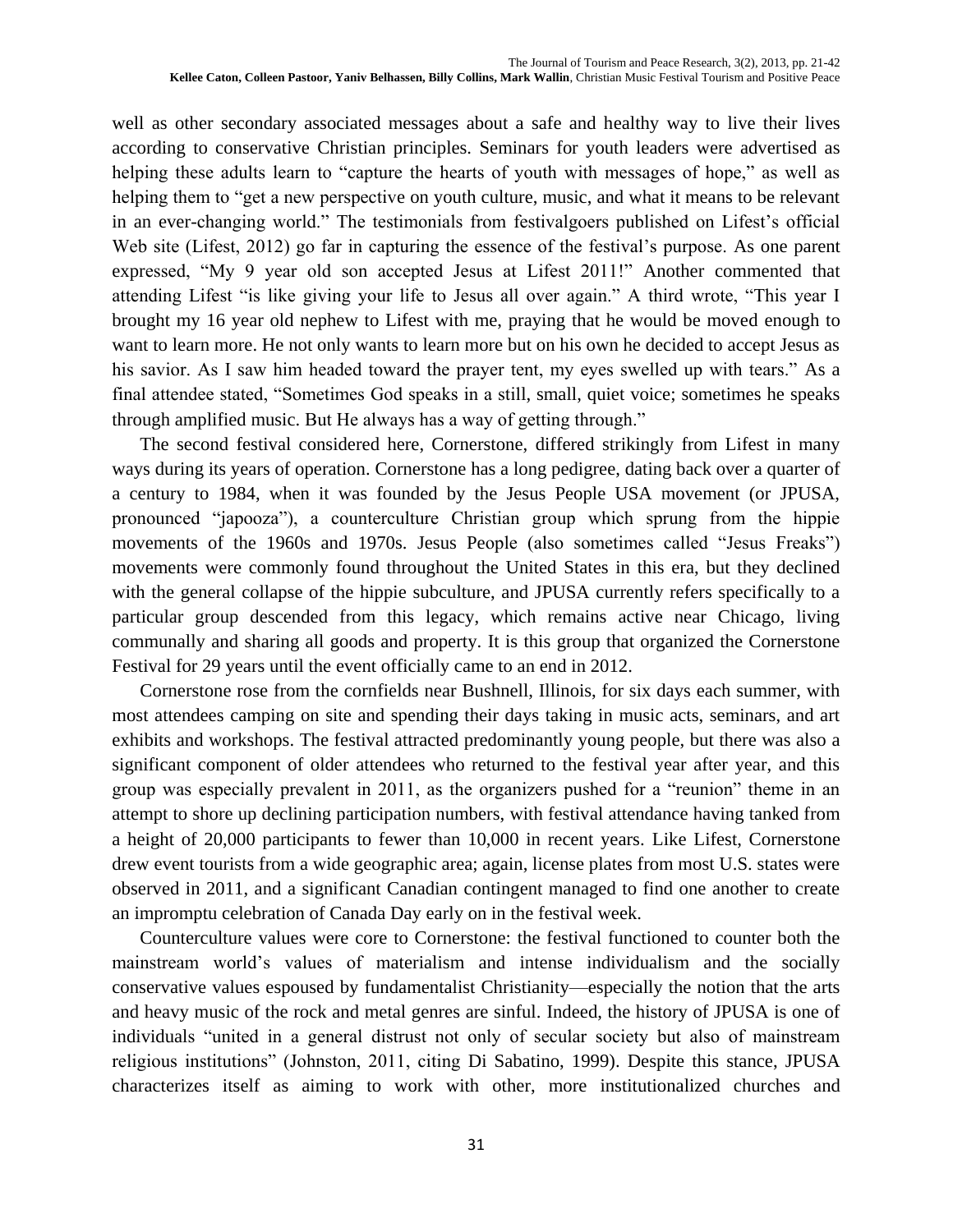well as other secondary associated messages about a safe and healthy way to live their lives according to conservative Christian principles. Seminars for youth leaders were advertised as helping these adults learn to "capture the hearts of youth with messages of hope," as well as helping them to "get a new perspective on youth culture, music, and what it means to be relevant in an ever-changing world." The testimonials from festivalgoers published on Lifest's official Web site (Lifest, 2012) go far in capturing the essence of the festival's purpose. As one parent expressed, "My 9 year old son accepted Jesus at Lifest 2011!" Another commented that attending Lifest "is like giving your life to Jesus all over again." A third wrote, "This year I brought my 16 year old nephew to Lifest with me, praying that he would be moved enough to want to learn more. He not only wants to learn more but on his own he decided to accept Jesus as his savior. As I saw him headed toward the prayer tent, my eyes swelled up with tears." As a final attendee stated, "Sometimes God speaks in a still, small, quiet voice; sometimes he speaks through amplified music. But He always has a way of getting through."

The second festival considered here, Cornerstone, differed strikingly from Lifest in many ways during its years of operation. Cornerstone has a long pedigree, dating back over a quarter of a century to 1984, when it was founded by the Jesus People USA movement (or JPUSA, pronounced "japooza"), a counterculture Christian group which sprung from the hippie movements of the 1960s and 1970s. Jesus People (also sometimes called "Jesus Freaks") movements were commonly found throughout the United States in this era, but they declined with the general collapse of the hippie subculture, and JPUSA currently refers specifically to a particular group descended from this legacy, which remains active near Chicago, living communally and sharing all goods and property. It is this group that organized the Cornerstone Festival for 29 years until the event officially came to an end in 2012.

Cornerstone rose from the cornfields near Bushnell, Illinois, for six days each summer, with most attendees camping on site and spending their days taking in music acts, seminars, and art exhibits and workshops. The festival attracted predominantly young people, but there was also a significant component of older attendees who returned to the festival year after year, and this group was especially prevalent in 2011, as the organizers pushed for a "reunion" theme in an attempt to shore up declining participation numbers, with festival attendance having tanked from a height of 20,000 participants to fewer than 10,000 in recent years. Like Lifest, Cornerstone drew event tourists from a wide geographic area; again, license plates from most U.S. states were observed in 2011, and a significant Canadian contingent managed to find one another to create an impromptu celebration of Canada Day early on in the festival week.

Counterculture values were core to Cornerstone: the festival functioned to counter both the mainstream world's values of materialism and intense individualism and the socially conservative values espoused by fundamentalist Christianity—especially the notion that the arts and heavy music of the rock and metal genres are sinful. Indeed, the history of JPUSA is one of individuals "united in a general distrust not only of secular society but also of mainstream religious institutions" (Johnston, 2011, citing Di Sabatino, 1999). Despite this stance, JPUSA characterizes itself as aiming to work with other, more institutionalized churches and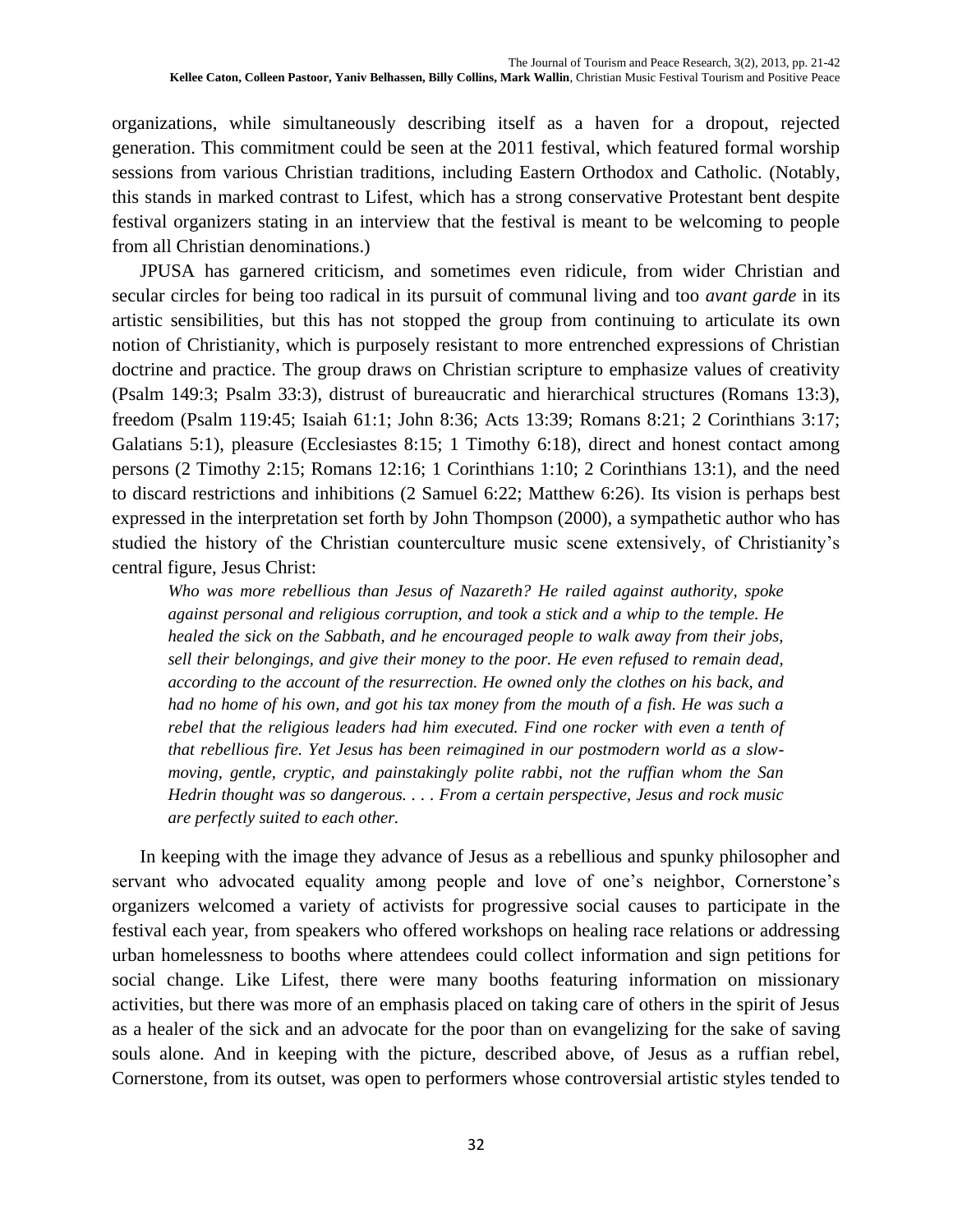organizations, while simultaneously describing itself as a haven for a dropout, rejected generation. This commitment could be seen at the 2011 festival, which featured formal worship sessions from various Christian traditions, including Eastern Orthodox and Catholic. (Notably, this stands in marked contrast to Lifest, which has a strong conservative Protestant bent despite festival organizers stating in an interview that the festival is meant to be welcoming to people from all Christian denominations.)

JPUSA has garnered criticism, and sometimes even ridicule, from wider Christian and secular circles for being too radical in its pursuit of communal living and too *avant garde* in its artistic sensibilities, but this has not stopped the group from continuing to articulate its own notion of Christianity, which is purposely resistant to more entrenched expressions of Christian doctrine and practice. The group draws on Christian scripture to emphasize values of creativity (Psalm 149:3; Psalm 33:3), distrust of bureaucratic and hierarchical structures (Romans 13:3), freedom (Psalm 119:45; Isaiah 61:1; John 8:36; Acts 13:39; Romans 8:21; 2 Corinthians 3:17; Galatians 5:1), pleasure (Ecclesiastes 8:15; 1 Timothy 6:18), direct and honest contact among persons (2 Timothy 2:15; Romans 12:16; 1 Corinthians 1:10; 2 Corinthians 13:1), and the need to discard restrictions and inhibitions (2 Samuel 6:22; Matthew 6:26). Its vision is perhaps best expressed in the interpretation set forth by John Thompson (2000), a sympathetic author who has studied the history of the Christian counterculture music scene extensively, of Christianity's central figure, Jesus Christ:

*Who was more rebellious than Jesus of Nazareth? He railed against authority, spoke against personal and religious corruption, and took a stick and a whip to the temple. He healed the sick on the Sabbath, and he encouraged people to walk away from their jobs, sell their belongings, and give their money to the poor. He even refused to remain dead, according to the account of the resurrection. He owned only the clothes on his back, and had no home of his own, and got his tax money from the mouth of a fish. He was such a rebel that the religious leaders had him executed. Find one rocker with even a tenth of that rebellious fire. Yet Jesus has been reimagined in our postmodern world as a slowmoving, gentle, cryptic, and painstakingly polite rabbi, not the ruffian whom the San Hedrin thought was so dangerous. . . . From a certain perspective, Jesus and rock music are perfectly suited to each other.*

In keeping with the image they advance of Jesus as a rebellious and spunky philosopher and servant who advocated equality among people and love of one's neighbor, Cornerstone's organizers welcomed a variety of activists for progressive social causes to participate in the festival each year, from speakers who offered workshops on healing race relations or addressing urban homelessness to booths where attendees could collect information and sign petitions for social change. Like Lifest, there were many booths featuring information on missionary activities, but there was more of an emphasis placed on taking care of others in the spirit of Jesus as a healer of the sick and an advocate for the poor than on evangelizing for the sake of saving souls alone. And in keeping with the picture, described above, of Jesus as a ruffian rebel, Cornerstone, from its outset, was open to performers whose controversial artistic styles tended to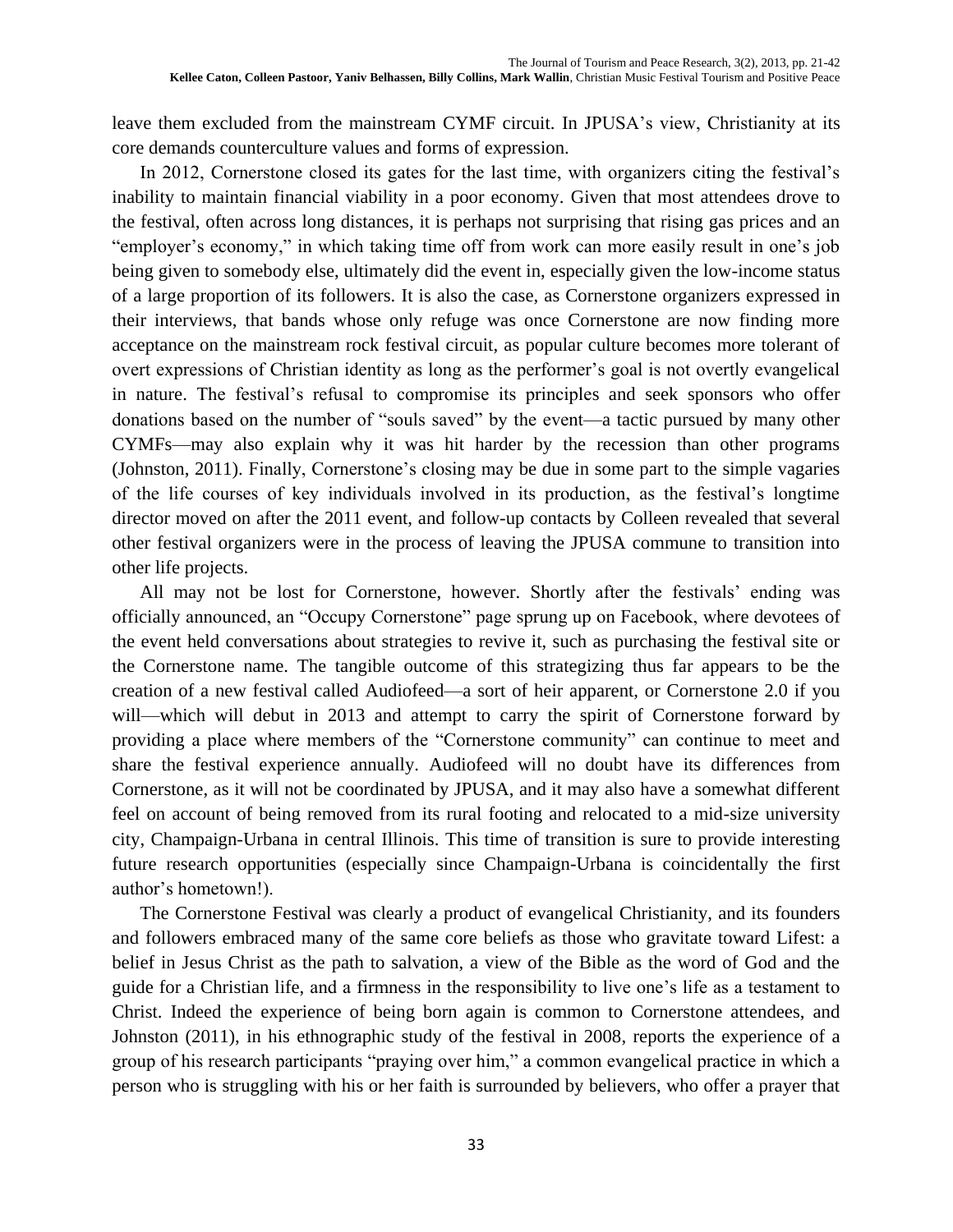leave them excluded from the mainstream CYMF circuit. In JPUSA's view, Christianity at its core demands counterculture values and forms of expression.

In 2012, Cornerstone closed its gates for the last time, with organizers citing the festival's inability to maintain financial viability in a poor economy. Given that most attendees drove to the festival, often across long distances, it is perhaps not surprising that rising gas prices and an "employer's economy," in which taking time off from work can more easily result in one's job being given to somebody else, ultimately did the event in, especially given the low-income status of a large proportion of its followers. It is also the case, as Cornerstone organizers expressed in their interviews, that bands whose only refuge was once Cornerstone are now finding more acceptance on the mainstream rock festival circuit, as popular culture becomes more tolerant of overt expressions of Christian identity as long as the performer's goal is not overtly evangelical in nature. The festival's refusal to compromise its principles and seek sponsors who offer donations based on the number of "souls saved" by the event—a tactic pursued by many other CYMFs—may also explain why it was hit harder by the recession than other programs (Johnston, 2011). Finally, Cornerstone's closing may be due in some part to the simple vagaries of the life courses of key individuals involved in its production, as the festival's longtime director moved on after the 2011 event, and follow-up contacts by Colleen revealed that several other festival organizers were in the process of leaving the JPUSA commune to transition into other life projects.

All may not be lost for Cornerstone, however. Shortly after the festivals' ending was officially announced, an "Occupy Cornerstone" page sprung up on Facebook, where devotees of the event held conversations about strategies to revive it, such as purchasing the festival site or the Cornerstone name. The tangible outcome of this strategizing thus far appears to be the creation of a new festival called Audiofeed—a sort of heir apparent, or Cornerstone 2.0 if you will—which will debut in 2013 and attempt to carry the spirit of Cornerstone forward by providing a place where members of the "Cornerstone community" can continue to meet and share the festival experience annually. Audiofeed will no doubt have its differences from Cornerstone, as it will not be coordinated by JPUSA, and it may also have a somewhat different feel on account of being removed from its rural footing and relocated to a mid-size university city, Champaign-Urbana in central Illinois. This time of transition is sure to provide interesting future research opportunities (especially since Champaign-Urbana is coincidentally the first author's hometown!).

The Cornerstone Festival was clearly a product of evangelical Christianity, and its founders and followers embraced many of the same core beliefs as those who gravitate toward Lifest: a belief in Jesus Christ as the path to salvation, a view of the Bible as the word of God and the guide for a Christian life, and a firmness in the responsibility to live one's life as a testament to Christ. Indeed the experience of being born again is common to Cornerstone attendees, and Johnston (2011), in his ethnographic study of the festival in 2008, reports the experience of a group of his research participants "praying over him," a common evangelical practice in which a person who is struggling with his or her faith is surrounded by believers, who offer a prayer that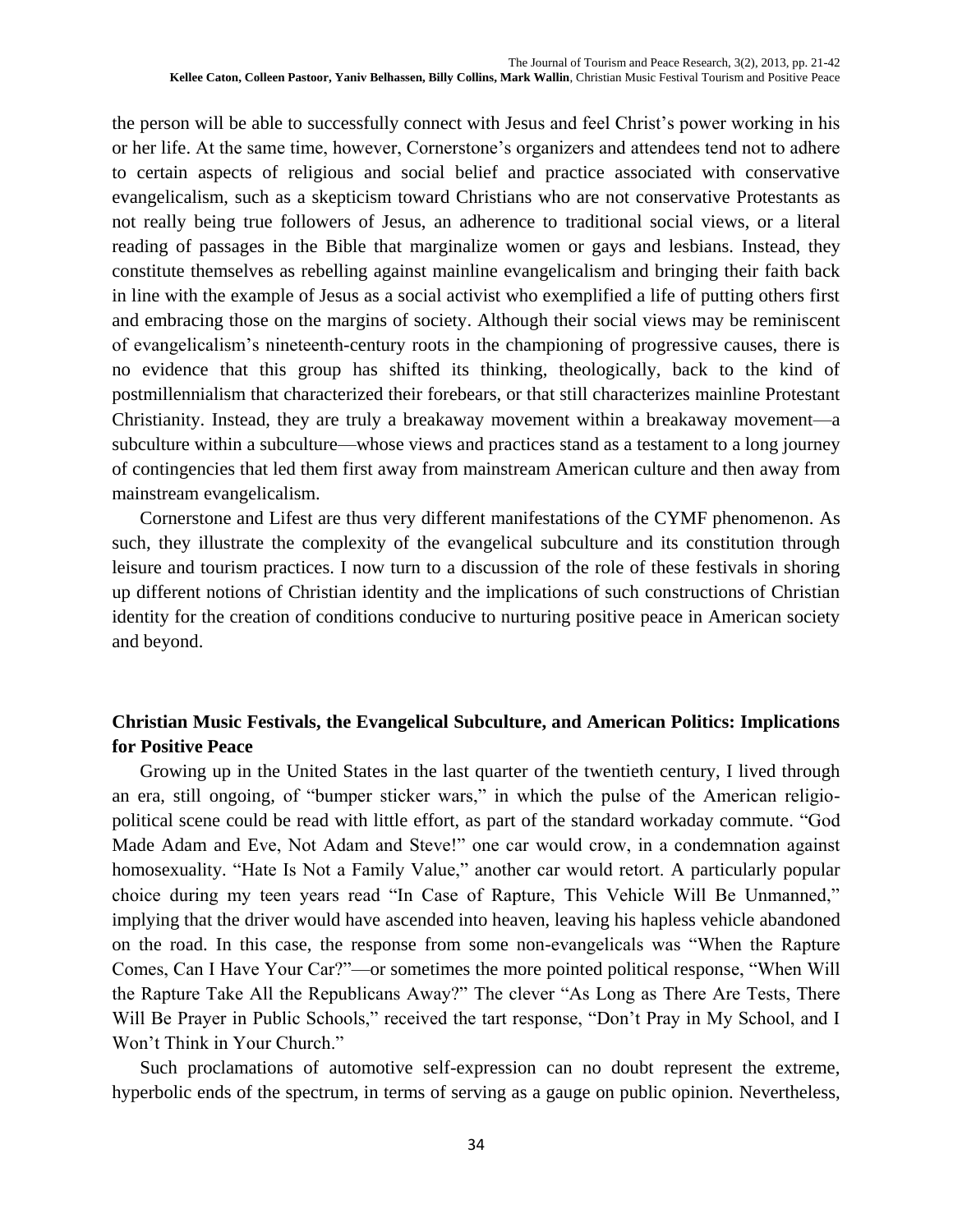the person will be able to successfully connect with Jesus and feel Christ's power working in his or her life. At the same time, however, Cornerstone's organizers and attendees tend not to adhere to certain aspects of religious and social belief and practice associated with conservative evangelicalism, such as a skepticism toward Christians who are not conservative Protestants as not really being true followers of Jesus, an adherence to traditional social views, or a literal reading of passages in the Bible that marginalize women or gays and lesbians. Instead, they constitute themselves as rebelling against mainline evangelicalism and bringing their faith back in line with the example of Jesus as a social activist who exemplified a life of putting others first and embracing those on the margins of society. Although their social views may be reminiscent of evangelicalism's nineteenth-century roots in the championing of progressive causes, there is no evidence that this group has shifted its thinking, theologically, back to the kind of postmillennialism that characterized their forebears, or that still characterizes mainline Protestant Christianity. Instead, they are truly a breakaway movement within a breakaway movement—a subculture within a subculture—whose views and practices stand as a testament to a long journey of contingencies that led them first away from mainstream American culture and then away from mainstream evangelicalism.

Cornerstone and Lifest are thus very different manifestations of the CYMF phenomenon. As such, they illustrate the complexity of the evangelical subculture and its constitution through leisure and tourism practices. I now turn to a discussion of the role of these festivals in shoring up different notions of Christian identity and the implications of such constructions of Christian identity for the creation of conditions conducive to nurturing positive peace in American society and beyond.

## **Christian Music Festivals, the Evangelical Subculture, and American Politics: Implications for Positive Peace**

Growing up in the United States in the last quarter of the twentieth century, I lived through an era, still ongoing, of "bumper sticker wars," in which the pulse of the American religiopolitical scene could be read with little effort, as part of the standard workaday commute. "God Made Adam and Eve, Not Adam and Steve!" one car would crow, in a condemnation against homosexuality. "Hate Is Not a Family Value," another car would retort. A particularly popular choice during my teen years read "In Case of Rapture, This Vehicle Will Be Unmanned," implying that the driver would have ascended into heaven, leaving his hapless vehicle abandoned on the road. In this case, the response from some non-evangelicals was "When the Rapture Comes, Can I Have Your Car?"—or sometimes the more pointed political response, "When Will the Rapture Take All the Republicans Away?" The clever "As Long as There Are Tests, There Will Be Prayer in Public Schools," received the tart response, "Don't Pray in My School, and I Won't Think in Your Church."

Such proclamations of automotive self-expression can no doubt represent the extreme, hyperbolic ends of the spectrum, in terms of serving as a gauge on public opinion. Nevertheless,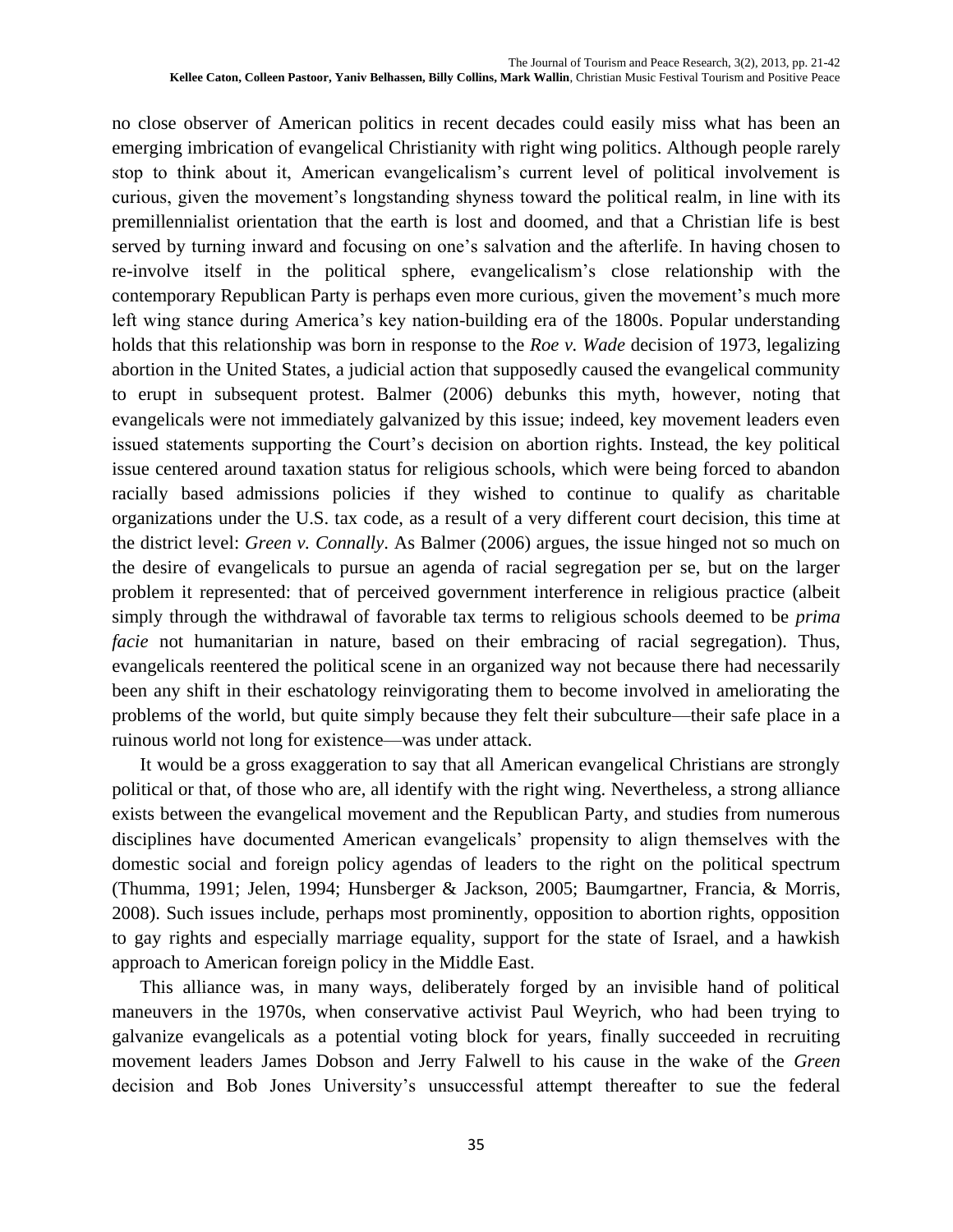no close observer of American politics in recent decades could easily miss what has been an emerging imbrication of evangelical Christianity with right wing politics. Although people rarely stop to think about it, American evangelicalism's current level of political involvement is curious, given the movement's longstanding shyness toward the political realm, in line with its premillennialist orientation that the earth is lost and doomed, and that a Christian life is best served by turning inward and focusing on one's salvation and the afterlife. In having chosen to re-involve itself in the political sphere, evangelicalism's close relationship with the contemporary Republican Party is perhaps even more curious, given the movement's much more left wing stance during America's key nation-building era of the 1800s. Popular understanding holds that this relationship was born in response to the *Roe v. Wade* decision of 1973, legalizing abortion in the United States, a judicial action that supposedly caused the evangelical community to erupt in subsequent protest. Balmer (2006) debunks this myth, however, noting that evangelicals were not immediately galvanized by this issue; indeed, key movement leaders even issued statements supporting the Court's decision on abortion rights. Instead, the key political issue centered around taxation status for religious schools, which were being forced to abandon racially based admissions policies if they wished to continue to qualify as charitable organizations under the U.S. tax code, as a result of a very different court decision, this time at the district level: *Green v. Connally*. As Balmer (2006) argues, the issue hinged not so much on the desire of evangelicals to pursue an agenda of racial segregation per se, but on the larger problem it represented: that of perceived government interference in religious practice (albeit simply through the withdrawal of favorable tax terms to religious schools deemed to be *prima facie* not humanitarian in nature, based on their embracing of racial segregation). Thus, evangelicals reentered the political scene in an organized way not because there had necessarily been any shift in their eschatology reinvigorating them to become involved in ameliorating the problems of the world, but quite simply because they felt their subculture—their safe place in a ruinous world not long for existence—was under attack.

It would be a gross exaggeration to say that all American evangelical Christians are strongly political or that, of those who are, all identify with the right wing. Nevertheless, a strong alliance exists between the evangelical movement and the Republican Party, and studies from numerous disciplines have documented American evangelicals' propensity to align themselves with the domestic social and foreign policy agendas of leaders to the right on the political spectrum (Thumma, 1991; Jelen, 1994; Hunsberger & Jackson, 2005; Baumgartner, Francia, & Morris, 2008). Such issues include, perhaps most prominently, opposition to abortion rights, opposition to gay rights and especially marriage equality, support for the state of Israel, and a hawkish approach to American foreign policy in the Middle East.

This alliance was, in many ways, deliberately forged by an invisible hand of political maneuvers in the 1970s, when conservative activist Paul Weyrich, who had been trying to galvanize evangelicals as a potential voting block for years, finally succeeded in recruiting movement leaders James Dobson and Jerry Falwell to his cause in the wake of the *Green* decision and Bob Jones University's unsuccessful attempt thereafter to sue the federal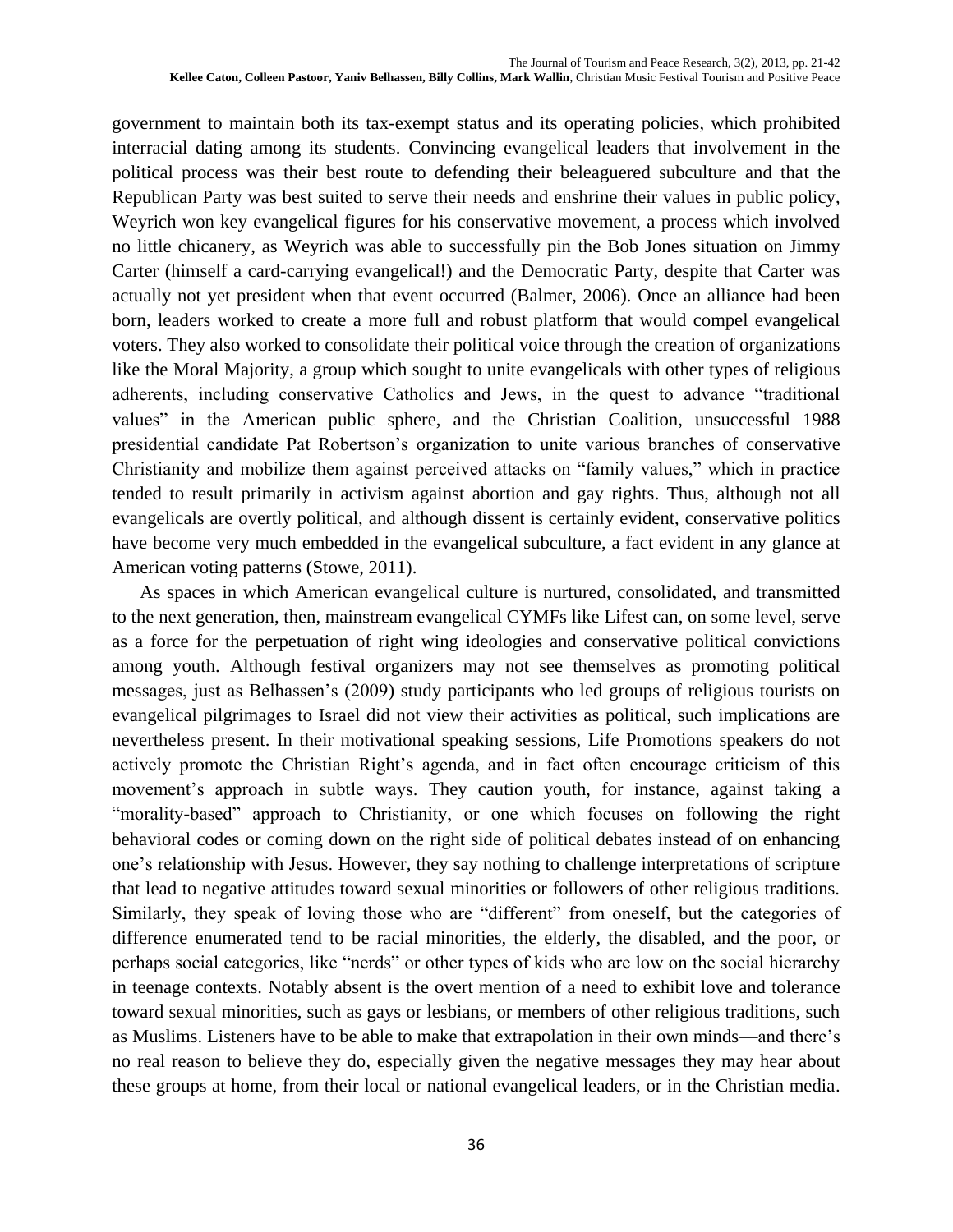government to maintain both its tax-exempt status and its operating policies, which prohibited interracial dating among its students. Convincing evangelical leaders that involvement in the political process was their best route to defending their beleaguered subculture and that the Republican Party was best suited to serve their needs and enshrine their values in public policy, Weyrich won key evangelical figures for his conservative movement, a process which involved no little chicanery, as Weyrich was able to successfully pin the Bob Jones situation on Jimmy Carter (himself a card-carrying evangelical!) and the Democratic Party, despite that Carter was actually not yet president when that event occurred (Balmer, 2006). Once an alliance had been born, leaders worked to create a more full and robust platform that would compel evangelical voters. They also worked to consolidate their political voice through the creation of organizations like the Moral Majority, a group which sought to unite evangelicals with other types of religious adherents, including conservative Catholics and Jews, in the quest to advance "traditional values" in the American public sphere, and the Christian Coalition, unsuccessful 1988 presidential candidate Pat Robertson's organization to unite various branches of conservative Christianity and mobilize them against perceived attacks on "family values," which in practice tended to result primarily in activism against abortion and gay rights. Thus, although not all evangelicals are overtly political, and although dissent is certainly evident, conservative politics have become very much embedded in the evangelical subculture, a fact evident in any glance at American voting patterns (Stowe, 2011).

As spaces in which American evangelical culture is nurtured, consolidated, and transmitted to the next generation, then, mainstream evangelical CYMFs like Lifest can, on some level, serve as a force for the perpetuation of right wing ideologies and conservative political convictions among youth. Although festival organizers may not see themselves as promoting political messages, just as Belhassen's (2009) study participants who led groups of religious tourists on evangelical pilgrimages to Israel did not view their activities as political, such implications are nevertheless present. In their motivational speaking sessions, Life Promotions speakers do not actively promote the Christian Right's agenda, and in fact often encourage criticism of this movement's approach in subtle ways. They caution youth, for instance, against taking a "morality-based" approach to Christianity, or one which focuses on following the right behavioral codes or coming down on the right side of political debates instead of on enhancing one's relationship with Jesus. However, they say nothing to challenge interpretations of scripture that lead to negative attitudes toward sexual minorities or followers of other religious traditions. Similarly, they speak of loving those who are "different" from oneself, but the categories of difference enumerated tend to be racial minorities, the elderly, the disabled, and the poor, or perhaps social categories, like "nerds" or other types of kids who are low on the social hierarchy in teenage contexts. Notably absent is the overt mention of a need to exhibit love and tolerance toward sexual minorities, such as gays or lesbians, or members of other religious traditions, such as Muslims. Listeners have to be able to make that extrapolation in their own minds—and there's no real reason to believe they do, especially given the negative messages they may hear about these groups at home, from their local or national evangelical leaders, or in the Christian media.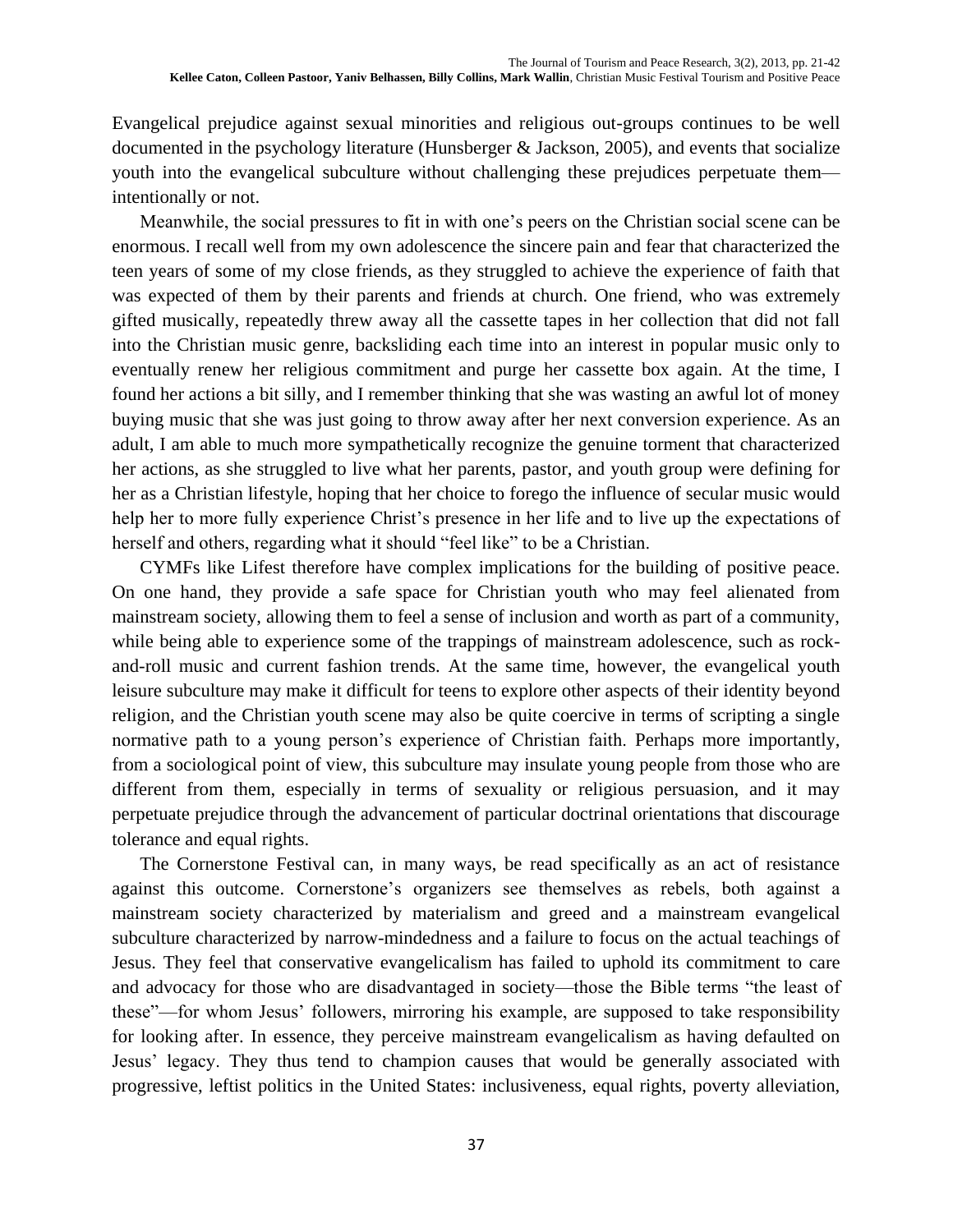Evangelical prejudice against sexual minorities and religious out-groups continues to be well documented in the psychology literature (Hunsberger & Jackson, 2005), and events that socialize youth into the evangelical subculture without challenging these prejudices perpetuate them intentionally or not.

Meanwhile, the social pressures to fit in with one's peers on the Christian social scene can be enormous. I recall well from my own adolescence the sincere pain and fear that characterized the teen years of some of my close friends, as they struggled to achieve the experience of faith that was expected of them by their parents and friends at church. One friend, who was extremely gifted musically, repeatedly threw away all the cassette tapes in her collection that did not fall into the Christian music genre, backsliding each time into an interest in popular music only to eventually renew her religious commitment and purge her cassette box again. At the time, I found her actions a bit silly, and I remember thinking that she was wasting an awful lot of money buying music that she was just going to throw away after her next conversion experience. As an adult, I am able to much more sympathetically recognize the genuine torment that characterized her actions, as she struggled to live what her parents, pastor, and youth group were defining for her as a Christian lifestyle, hoping that her choice to forego the influence of secular music would help her to more fully experience Christ's presence in her life and to live up the expectations of herself and others, regarding what it should "feel like" to be a Christian.

CYMFs like Lifest therefore have complex implications for the building of positive peace. On one hand, they provide a safe space for Christian youth who may feel alienated from mainstream society, allowing them to feel a sense of inclusion and worth as part of a community, while being able to experience some of the trappings of mainstream adolescence, such as rockand-roll music and current fashion trends. At the same time, however, the evangelical youth leisure subculture may make it difficult for teens to explore other aspects of their identity beyond religion, and the Christian youth scene may also be quite coercive in terms of scripting a single normative path to a young person's experience of Christian faith. Perhaps more importantly, from a sociological point of view, this subculture may insulate young people from those who are different from them, especially in terms of sexuality or religious persuasion, and it may perpetuate prejudice through the advancement of particular doctrinal orientations that discourage tolerance and equal rights.

The Cornerstone Festival can, in many ways, be read specifically as an act of resistance against this outcome. Cornerstone's organizers see themselves as rebels, both against a mainstream society characterized by materialism and greed and a mainstream evangelical subculture characterized by narrow-mindedness and a failure to focus on the actual teachings of Jesus. They feel that conservative evangelicalism has failed to uphold its commitment to care and advocacy for those who are disadvantaged in society—those the Bible terms "the least of these"—for whom Jesus' followers, mirroring his example, are supposed to take responsibility for looking after. In essence, they perceive mainstream evangelicalism as having defaulted on Jesus' legacy. They thus tend to champion causes that would be generally associated with progressive, leftist politics in the United States: inclusiveness, equal rights, poverty alleviation,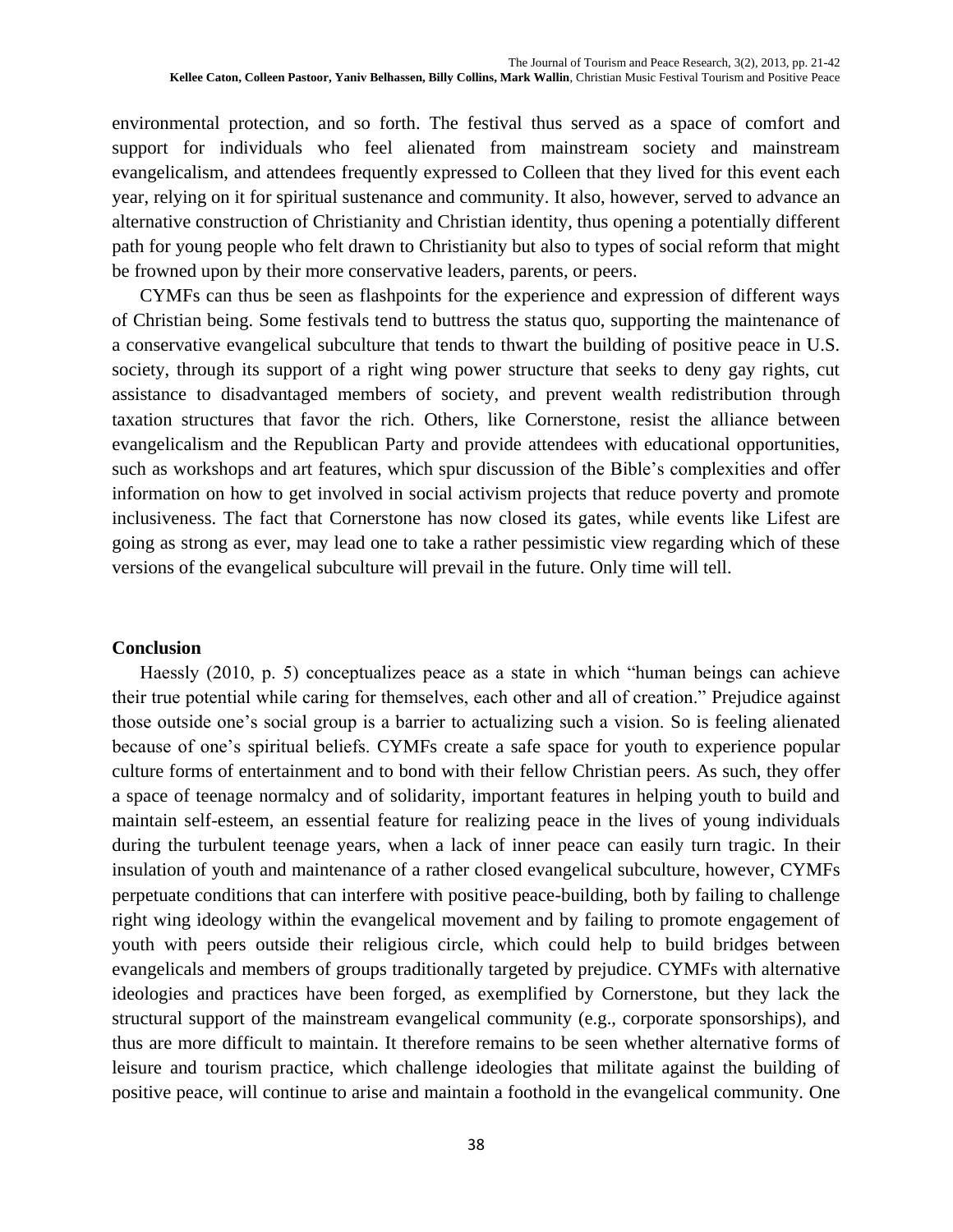environmental protection, and so forth. The festival thus served as a space of comfort and support for individuals who feel alienated from mainstream society and mainstream evangelicalism, and attendees frequently expressed to Colleen that they lived for this event each year, relying on it for spiritual sustenance and community. It also, however, served to advance an alternative construction of Christianity and Christian identity, thus opening a potentially different path for young people who felt drawn to Christianity but also to types of social reform that might be frowned upon by their more conservative leaders, parents, or peers.

CYMFs can thus be seen as flashpoints for the experience and expression of different ways of Christian being. Some festivals tend to buttress the status quo, supporting the maintenance of a conservative evangelical subculture that tends to thwart the building of positive peace in U.S. society, through its support of a right wing power structure that seeks to deny gay rights, cut assistance to disadvantaged members of society, and prevent wealth redistribution through taxation structures that favor the rich. Others, like Cornerstone, resist the alliance between evangelicalism and the Republican Party and provide attendees with educational opportunities, such as workshops and art features, which spur discussion of the Bible's complexities and offer information on how to get involved in social activism projects that reduce poverty and promote inclusiveness. The fact that Cornerstone has now closed its gates, while events like Lifest are going as strong as ever, may lead one to take a rather pessimistic view regarding which of these versions of the evangelical subculture will prevail in the future. Only time will tell.

#### **Conclusion**

Haessly (2010, p. 5) conceptualizes peace as a state in which "human beings can achieve their true potential while caring for themselves, each other and all of creation." Prejudice against those outside one's social group is a barrier to actualizing such a vision. So is feeling alienated because of one's spiritual beliefs. CYMFs create a safe space for youth to experience popular culture forms of entertainment and to bond with their fellow Christian peers. As such, they offer a space of teenage normalcy and of solidarity, important features in helping youth to build and maintain self-esteem, an essential feature for realizing peace in the lives of young individuals during the turbulent teenage years, when a lack of inner peace can easily turn tragic. In their insulation of youth and maintenance of a rather closed evangelical subculture, however, CYMFs perpetuate conditions that can interfere with positive peace-building, both by failing to challenge right wing ideology within the evangelical movement and by failing to promote engagement of youth with peers outside their religious circle, which could help to build bridges between evangelicals and members of groups traditionally targeted by prejudice. CYMFs with alternative ideologies and practices have been forged, as exemplified by Cornerstone, but they lack the structural support of the mainstream evangelical community (e.g., corporate sponsorships), and thus are more difficult to maintain. It therefore remains to be seen whether alternative forms of leisure and tourism practice, which challenge ideologies that militate against the building of positive peace, will continue to arise and maintain a foothold in the evangelical community. One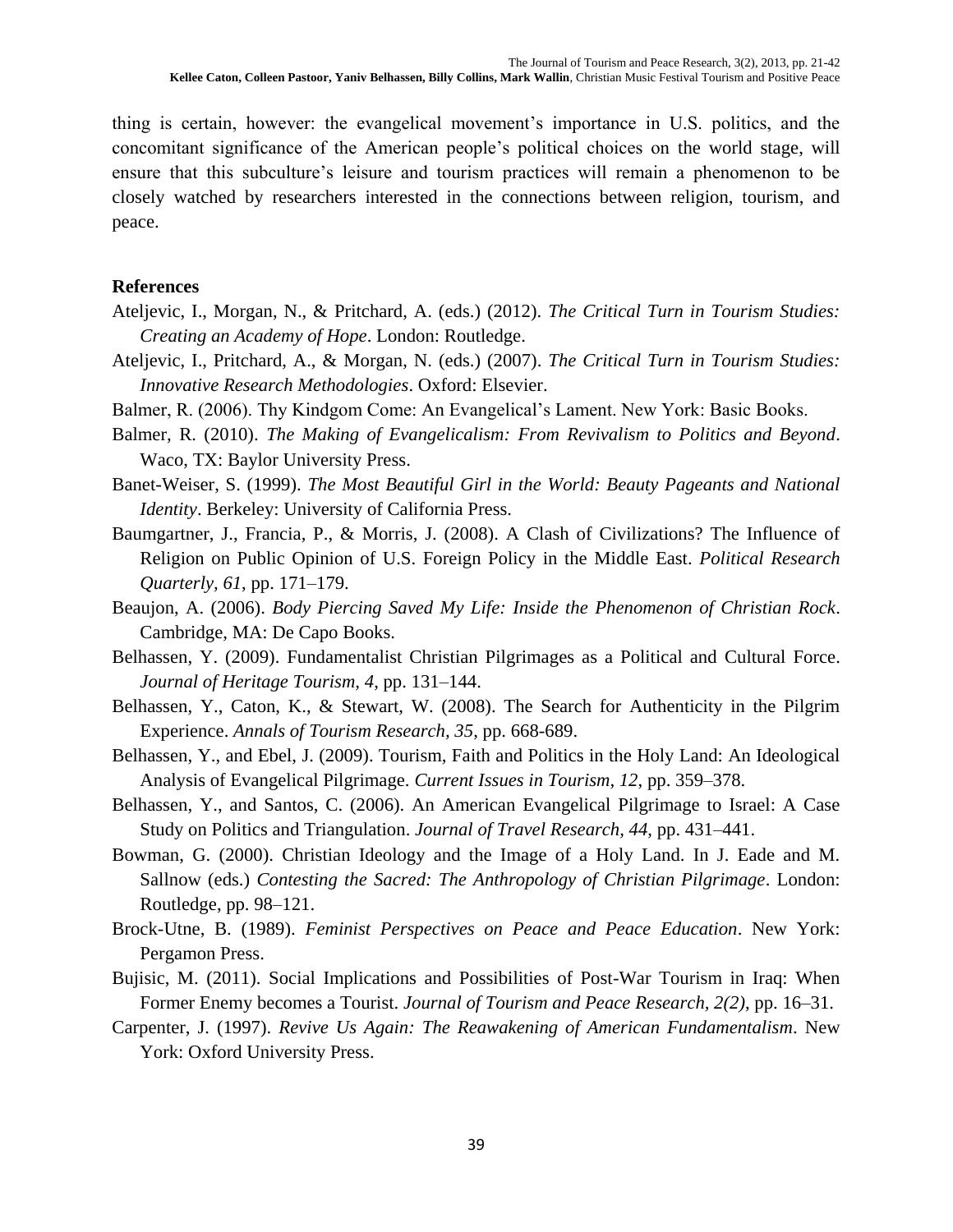thing is certain, however: the evangelical movement's importance in U.S. politics, and the concomitant significance of the American people's political choices on the world stage, will ensure that this subculture's leisure and tourism practices will remain a phenomenon to be closely watched by researchers interested in the connections between religion, tourism, and peace.

### **References**

- Ateljevic, I., Morgan, N., & Pritchard, A. (eds.) (2012). *The Critical Turn in Tourism Studies: Creating an Academy of Hope*. London: Routledge.
- Ateljevic, I., Pritchard, A., & Morgan, N. (eds.) (2007). *The Critical Turn in Tourism Studies: Innovative Research Methodologies*. Oxford: Elsevier.
- Balmer, R. (2006). Thy Kindgom Come: An Evangelical's Lament. New York: Basic Books.
- Balmer, R. (2010). *The Making of Evangelicalism: From Revivalism to Politics and Beyond*. Waco, TX: Baylor University Press.
- Banet-Weiser, S. (1999). *The Most Beautiful Girl in the World: Beauty Pageants and National Identity*. Berkeley: University of California Press.
- Baumgartner, J., Francia, P., & Morris, J. (2008). A Clash of Civilizations? The Influence of Religion on Public Opinion of U.S. Foreign Policy in the Middle East. *Political Research Quarterly, 61*, pp. 171–179.
- Beaujon, A. (2006). *Body Piercing Saved My Life: Inside the Phenomenon of Christian Rock*. Cambridge, MA: De Capo Books.
- Belhassen, Y. (2009). Fundamentalist Christian Pilgrimages as a Political and Cultural Force. *Journal of Heritage Tourism, 4*, pp. 131–144.
- Belhassen, Y., Caton, K., & Stewart, W. (2008). The Search for Authenticity in the Pilgrim Experience. *Annals of Tourism Research, 35*, pp. 668-689.
- Belhassen, Y., and Ebel, J. (2009). Tourism, Faith and Politics in the Holy Land: An Ideological Analysis of Evangelical Pilgrimage. *Current Issues in Tourism, 12*, pp. 359–378.
- Belhassen, Y., and Santos, C. (2006). An American Evangelical Pilgrimage to Israel: A Case Study on Politics and Triangulation. *Journal of Travel Research, 44*, pp. 431–441.
- Bowman, G. (2000). Christian Ideology and the Image of a Holy Land. In J. Eade and M. Sallnow (eds.) *Contesting the Sacred: The Anthropology of Christian Pilgrimage*. London: Routledge, pp. 98–121.
- Brock-Utne, B. (1989). *Feminist Perspectives on Peace and Peace Education*. New York: Pergamon Press.
- Bujisic, M. (2011). Social Implications and Possibilities of Post-War Tourism in Iraq: When Former Enemy becomes a Tourist. *Journal of Tourism and Peace Research, 2(2)*, pp. 16–31.
- Carpenter, J. (1997). *Revive Us Again: The Reawakening of American Fundamentalism*. New York: Oxford University Press.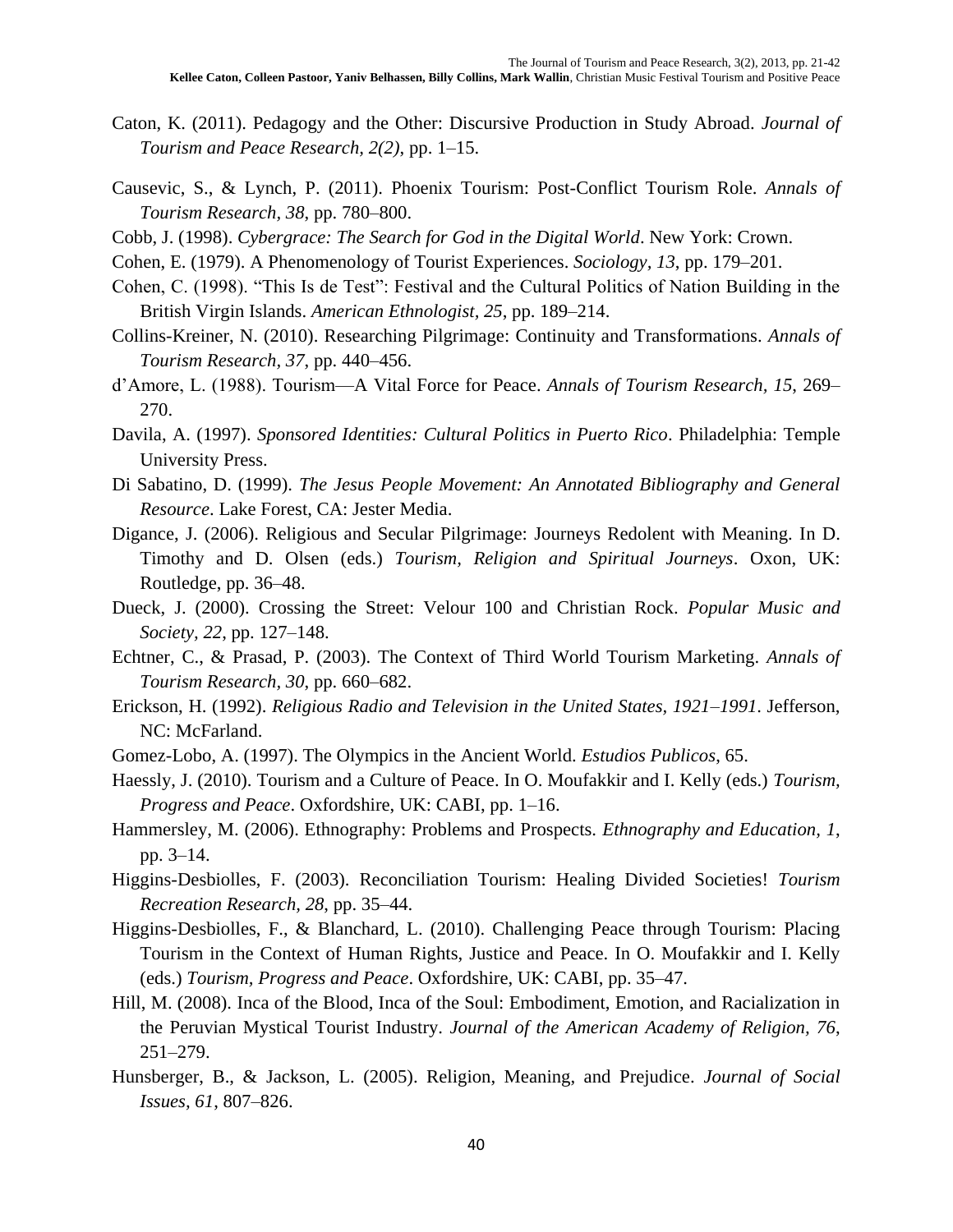- Caton, K. (2011). Pedagogy and the Other: Discursive Production in Study Abroad. *Journal of Tourism and Peace Research, 2(2)*, pp. 1–15.
- Causevic, S., & Lynch, P. (2011). Phoenix Tourism: Post-Conflict Tourism Role. *Annals of Tourism Research, 38*, pp. 780–800.
- Cobb, J. (1998). *Cybergrace: The Search for God in the Digital World*. New York: Crown.
- Cohen, E. (1979). A Phenomenology of Tourist Experiences. *Sociology, 13*, pp. 179–201.
- Cohen, C. (1998). "This Is de Test": Festival and the Cultural Politics of Nation Building in the British Virgin Islands. *American Ethnologist, 25*, pp. 189–214.
- Collins-Kreiner, N. (2010). Researching Pilgrimage: Continuity and Transformations. *Annals of Tourism Research, 37*, pp. 440–456.
- d'Amore, L. (1988). Tourism—A Vital Force for Peace. *Annals of Tourism Research, 15*, 269– 270.
- Davila, A. (1997). *Sponsored Identities: Cultural Politics in Puerto Rico*. Philadelphia: Temple University Press.
- Di Sabatino, D. (1999). *The Jesus People Movement: An Annotated Bibliography and General Resource*. Lake Forest, CA: Jester Media.
- Digance, J. (2006). Religious and Secular Pilgrimage: Journeys Redolent with Meaning. In D. Timothy and D. Olsen (eds.) *Tourism, Religion and Spiritual Journeys*. Oxon, UK: Routledge, pp. 36–48.
- Dueck, J. (2000). Crossing the Street: Velour 100 and Christian Rock. *Popular Music and Society, 22*, pp. 127–148.
- Echtner, C., & Prasad, P. (2003). The Context of Third World Tourism Marketing. *Annals of Tourism Research, 30*, pp. 660–682.
- Erickson, H. (1992). *Religious Radio and Television in the United States, 1921–1991*. Jefferson, NC: McFarland.
- Gomez-Lobo, A. (1997). The Olympics in the Ancient World. *Estudios Publicos*, 65.
- Haessly, J. (2010). Tourism and a Culture of Peace. In O. Moufakkir and I. Kelly (eds.) *Tourism, Progress and Peace*. Oxfordshire, UK: CABI, pp. 1–16.
- Hammersley, M. (2006). Ethnography: Problems and Prospects. *Ethnography and Education, 1*, pp. 3–14.
- Higgins-Desbiolles, F. (2003). Reconciliation Tourism: Healing Divided Societies! *Tourism Recreation Research, 28*, pp. 35–44.
- Higgins-Desbiolles, F., & Blanchard, L. (2010). Challenging Peace through Tourism: Placing Tourism in the Context of Human Rights, Justice and Peace. In O. Moufakkir and I. Kelly (eds.) *Tourism, Progress and Peace*. Oxfordshire, UK: CABI, pp. 35–47.
- Hill, M. (2008). Inca of the Blood, Inca of the Soul: Embodiment, Emotion, and Racialization in the Peruvian Mystical Tourist Industry. *Journal of the American Academy of Religion, 76*, 251–279.
- Hunsberger, B., & Jackson, L. (2005). Religion, Meaning, and Prejudice. *Journal of Social Issues, 61*, 807–826.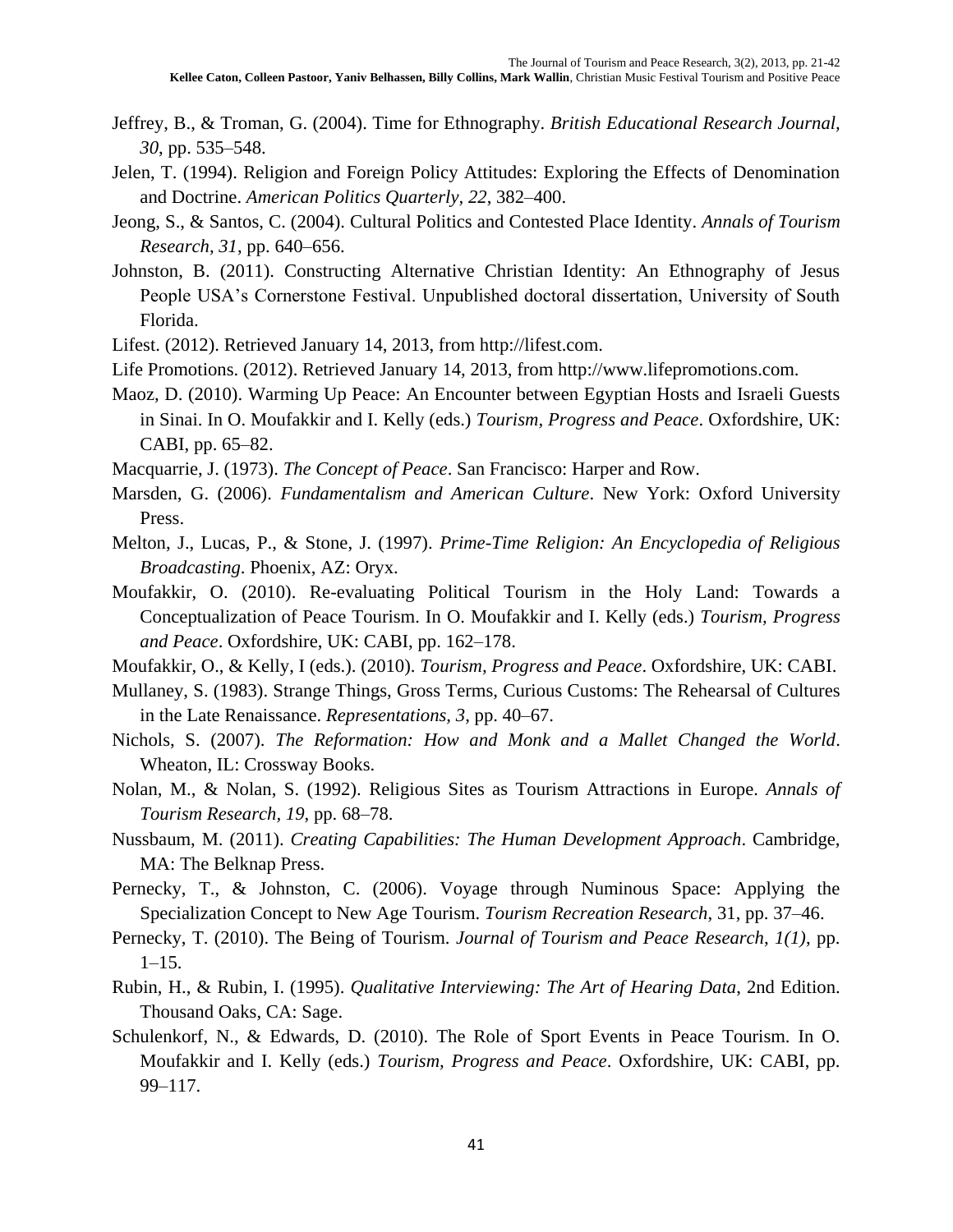- Jeffrey, B., & Troman, G. (2004). Time for Ethnography. *British Educational Research Journal, 30*, pp. 535–548.
- Jelen, T. (1994). Religion and Foreign Policy Attitudes: Exploring the Effects of Denomination and Doctrine. *American Politics Quarterly, 22*, 382–400.
- Jeong, S., & Santos, C. (2004). Cultural Politics and Contested Place Identity. *Annals of Tourism Research, 31*, pp. 640–656.
- Johnston, B. (2011). Constructing Alternative Christian Identity: An Ethnography of Jesus People USA's Cornerstone Festival. Unpublished doctoral dissertation, University of South Florida.
- Lifest. (2012). Retrieved January 14, 2013, from http://lifest.com.
- Life Promotions. (2012). Retrieved January 14, 2013, from http://www.lifepromotions.com.
- Maoz, D. (2010). Warming Up Peace: An Encounter between Egyptian Hosts and Israeli Guests in Sinai. In O. Moufakkir and I. Kelly (eds.) *Tourism, Progress and Peace*. Oxfordshire, UK: CABI, pp. 65–82.
- Macquarrie, J. (1973). *The Concept of Peace*. San Francisco: Harper and Row.
- Marsden, G. (2006). *Fundamentalism and American Culture*. New York: Oxford University Press.
- Melton, J., Lucas, P., & Stone, J. (1997). *Prime-Time Religion: An Encyclopedia of Religious Broadcasting*. Phoenix, AZ: Oryx.
- Moufakkir, O. (2010). Re-evaluating Political Tourism in the Holy Land: Towards a Conceptualization of Peace Tourism. In O. Moufakkir and I. Kelly (eds.) *Tourism, Progress and Peace*. Oxfordshire, UK: CABI, pp. 162–178.
- Moufakkir, O., & Kelly, I (eds.). (2010). *Tourism, Progress and Peace*. Oxfordshire, UK: CABI.
- Mullaney, S. (1983). Strange Things, Gross Terms, Curious Customs: The Rehearsal of Cultures in the Late Renaissance. *Representations, 3*, pp. 40–67.
- Nichols, S. (2007). *The Reformation: How and Monk and a Mallet Changed the World*. Wheaton, IL: Crossway Books.
- Nolan, M., & Nolan, S. (1992). Religious Sites as Tourism Attractions in Europe. *Annals of Tourism Research, 19*, pp. 68–78.
- Nussbaum, M. (2011). *Creating Capabilities: The Human Development Approach*. Cambridge, MA: The Belknap Press.
- Pernecky, T., & Johnston, C. (2006). Voyage through Numinous Space: Applying the Specialization Concept to New Age Tourism. *Tourism Recreation Research*, 31, pp. 37–46.
- Pernecky, T. (2010). The Being of Tourism. *Journal of Tourism and Peace Research, 1(1)*, pp.  $1-15.$
- Rubin, H., & Rubin, I. (1995). *Qualitative Interviewing: The Art of Hearing Data*, 2nd Edition. Thousand Oaks, CA: Sage.
- Schulenkorf, N., & Edwards, D. (2010). The Role of Sport Events in Peace Tourism. In O. Moufakkir and I. Kelly (eds.) *Tourism, Progress and Peace*. Oxfordshire, UK: CABI, pp. 99–117.